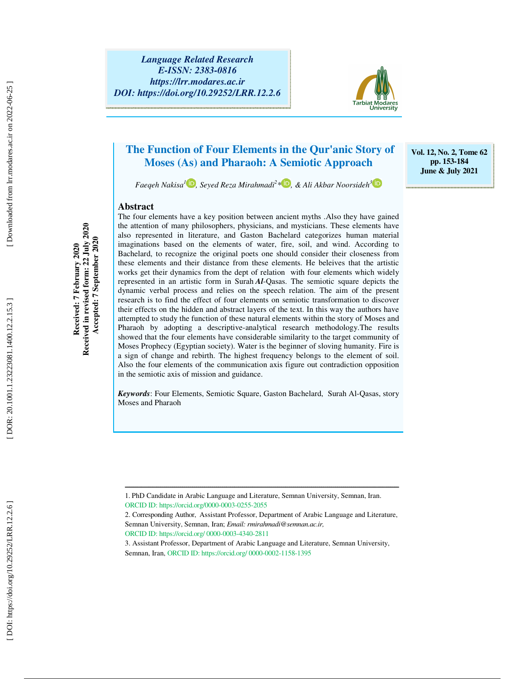*Language Related Research E-ISSN: 2383-0816 https://lrr.modares.ac.ir DOI: https://doi.org/10.29252/LRR.12.2.6* 



# **The Function of Four Elements in the Qur'anic Story of Moses (As) and Pharaoh: A Semiotic Approach**

**Vol. 12, No. 2, Tome 62 pp. 153-184 June & July 2021** 

*Faeqeh Nakisa 1 , Seyed Reza Mirahmadi 2 \* , & Ali Akbar Noorsideh 3*

### **Abstract**

The four elements have a key position between ancient myths .Also they have gained the attention of many philosophers, physicians, and mysticians. These elements have also represented in literature, and Gaston Bachelard categorizes human material imaginations based on the elements of water, fire, soil, and wind. According to Bachelard, to recognize the original poets one should consider their closeness from these elements and their distance from these elements. He beleives that the artistic works get their dynamics from the dept of relation with four elements which widely represented in an artistic form in Surah *Al*-Qasas. The semiotic square depicts the dynamic verbal process and relies on the speech relation. The aim of the present research is to find the effect of four elements on semiotic transformation to discover their effects on the hidden and abstract layers of the text. In this way the authors have attempted to study the function of these natural elements within the story of Moses and Pharaoh by adopting a descriptive-analytical research methodology.The results showed that the four elements have considerable similarity to the target community of Moses Prophecy (Egyptian society). Water is the beginner of sloving humanity. Fire is a sign of change and rebirth. The highest frequency belongs to the element of soil. Also the four elements of the communication axis figure out contradiction opposition in the semiotic axis of mission and guidance.

*Keywords*: Four Elements, Semiotic Square, Gaston Bachelard, Surah Al-Qasas, story Moses and Pharaoh

ــــــــــــــــــــــــــــــــــــــــــــــــــــــــــــــــــــــــــــــــــــــــــــــــــــــــــــــــــــــــــــــــــــــــــ

Received in revised form: 22 July 2020 **Received in revised form: 22 July 2020**  Accepted: 7 September 2020 Received: 7 February 2020 **Received: 7 February 2020** 

 **Accepted: 7 September 2020** 

DOR: 20.1001.1.23223081.1400.12.2.15.3

<sup>1.</sup> PhD Candidate in Arabic Language and Literature, Semnan University, Semnan, Iran. ORCID ID: https://orcid.org/0000-0003-0255-2055

<sup>2.</sup> Corresponding Author, Assistant Professor, Department of Arabic Language and Literature, Semnan University, Semnan, Iran; *Email: rmirahmadi@semnan.ac.ir,* ORCID ID: https://orcid.org/ 0000-0003-4340-2811

<sup>3.</sup> Assistant Professor, Department of Arabic Language and Literature, Semnan University,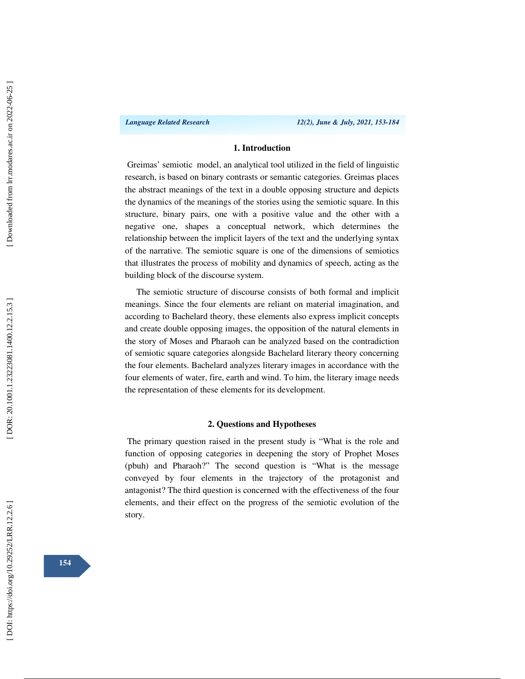### **1. Introduction**

 Greimas' semiotic model, an analytical tool utilized in the field of linguistic research, is based on binary contrasts or semantic categories. Greimas places the abstract meanings of the text in a double opposing structure and depicts the dynamics of the meanings of the stories using the semiotic square. In this structure, binary pairs, one with a positive value and the other with a negative one, shapes a conceptual network, which determines the relationship between the implicit layers of the text and the underlying syntax of the narrative. The semiotic square is one of the dimensions of semiotics that illustrates the process of mobility and dynamics of speech, acting as the building block of the discourse system.

The semiotic structure of discourse consists of both formal and implicit meanings. Since the four elements are reliant on material imagination, and according to Bachelard theory, these elements also express implicit concepts and create double opposing images, the opposition of the natural elements in the story of Moses and Pharaoh can be analyzed based on the contradiction of semiotic square categories alongside Bachelard literary theory concerning the four elements. Bachelard analyzes literary images in accordance with the four elements of water, fire, earth and wind. To him, the literary image needs the representation of these elements for its development.

### **2. Questions and Hypotheses**

 The primary question raised in the present study is "What is the role and function of opposing categories in deepening the story of Prophet Moses (pbuh) and Pharaoh?" The second question is "What is the message conveyed by four elements in the trajectory of the protagonist and antagonist? The third question is concerned with the effectiveness of the four elements, and their effect on the progress of the semiotic evolution of the story.

**154**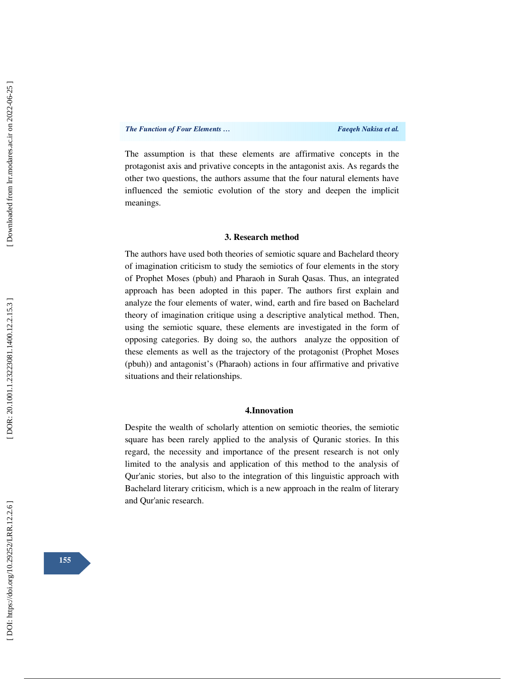The assumption is that these elements are affirmative concepts in the protagonist axis and privative concepts in the antagonist axis. As regards the other two questions, the authors assume that the four natural elements have influenced the semiotic evolution of the story and deepen the implicit meanings.

#### **3. Research method**

The authors have used both theories of semiotic square and Bachelard theory of imagination criticism to study the semiotics of four elements in the story of Prophet Moses (pbuh) and Pharaoh in Surah Qasas. Thus, an integrated approach has been adopted in this paper. The authors first explain and analyze the four elements of water, wind, earth and fire based on Bachelard theory of imagination critique using a descriptive analytical method. Then, using the semiotic square, these elements are investigated in the form of opposing categories. By doing so, the authors analyze the opposition of these elements as well as the trajectory of the protagonist (Prophet Moses (pbuh)) and antagonist's (Pharaoh) actions in four affirmative and privative situations and their relationships.

#### **4.Innovation**

Despite the wealth of scholarly attention on semiotic theories, the semiotic square has been rarely applied to the analysis of Quranic stories. In this regard, the necessity and importance of the present research is not only limited to the analysis and application of this method to the analysis of Qur'anic stories, but also to the integration of this linguistic approach with Bachelard literary criticism, which is a new approach in the realm of literary and Qur'anic research.

**155**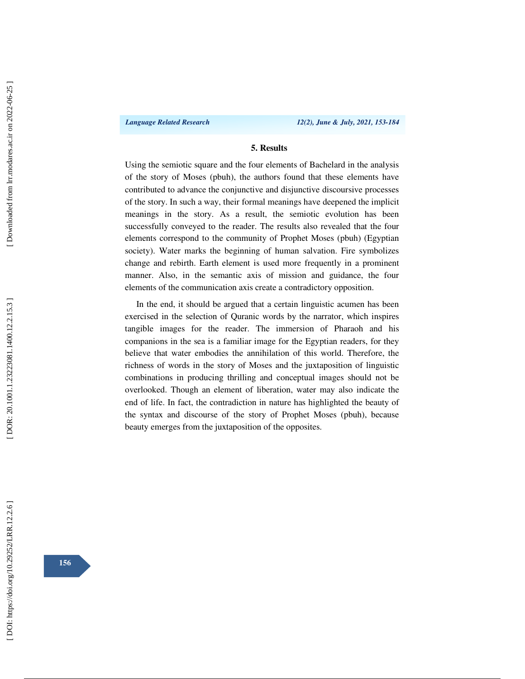*Language Related Research 12(2), June & July, 2021, 153-184*

### **5. Results**

Using the semiotic square and the four elements of Bachelard in the analysis of the story of Moses (pbuh), the authors found that these elements have contributed to advance the conjunctive and disjunctive discoursive processes of the story. In such a way, their formal meanings have deepened the implicit meanings in the story. As a result, the semiotic evolution has been successfully conveyed to the reader. The results also revealed that the four elements correspond to the community of Prophet Moses (pbuh) (Egyptian society). Water marks the beginning of human salvation. Fire symbolizes change and rebirth. Earth element is used more frequently in a prominent manner. Also, in the semantic axis of mission and guidance, the four elements of the communication axis create a contradictory opposition.

In the end, it should be argued that a certain linguistic acumen has been exercised in the selection of Quranic words by the narrator, which inspires tangible images for the reader. The immersion of Pharaoh and his companions in the sea is a familiar image for the Egyptian readers, for they believe that water embodies the annihilation of this world. Therefore, the richness of words in the story of Moses and the juxtaposition of linguistic combinations in producing thrilling and conceptual images should not be overlooked. Though an element of liberation, water may also indicate the end of life. In fact, the contradiction in nature has highlighted the beauty of the syntax and discourse of the story of Prophet Moses (pbuh), because beauty emerges from the juxtaposition of the opposites.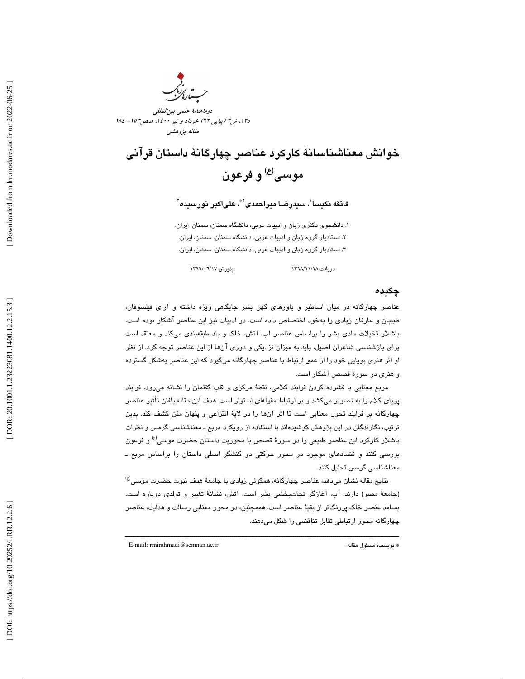

# خوانش معناشناسانهٔ كاركرد عناصر چهارگانهٔ داستان قرآني موسى<sup>(ع)</sup> و فرعون

# فائقه نكيسا $'$ ، سيدرضا ميراحمدى $^{\ast}$ ، علىاكبر نورسيده $^{\ast}$

. دانشجوي دكتري زبان و ادبيات عربي، دانشگاه سمنان، سمنان، ايران. 1 . استاديار گروه زبان و ادبيات عربي، دانشگاه سمنان، سمنان، ايران. 2 . استاديار گروه زبان و ادبيات عربي، دانشگاه سمنان، سمنان، ايران. 3

دريافت:١٣٩٨/ ١٢٩٨/ ١٢٩٨

### چكيد ه

عناصر چهارگانه در ميان اساطير و باورهاي كهن بشر جايگاهي ويژه داشته و آراي فيلسوفان، طبيبان و عارفان زيادي را بهخود اختصاص داده است. در ادبيات نيز اين عناصر آشكار بوده است. باشلار تخيلات مادي بشر را براساس عناصر آب، آتش، خاك و باد طبقهبندي ميكند و معتقد است براي بازشناسي شاعران اصيل، بايد به ميزان نزديكي و دوري آنها از اين عناصر توجه كرد. از نظر او اثر هنري پويايي خود را از عمق ارتباط با عناصر چهارگانه ميگيرد كه اين عناصر بهشكل گسترده و هنري در سورة قصص آشكار است.

مربع معنايي با فشرده كردن فرايند كلامي، نقطة مركزي و قلب گفتمان را نشانه ميرود. فرايند پوياي كلام را به تصوير ميكشد و بر ارتباط مقولهاي استوار است. هدف اين مقاله يافتن تأثير عناصر چهارگانه بر فرايند تحول معنايي است تا اثر آنها را در لاية انتزاعي و پنهان متن كشف كند. بدين ترتيب، نگارندگان در اين پژوهش كوشيدهاند با استفاده از رويكرد مربع ـ معناشناسي گرمس و نظرات باشلار كاركرد اين عناصر طبيعي را در سورهٔ قصص با محوريت داستان حضرت موسى<sup>(ع)</sup> و فرعون بررسي كنند و تضادهاي موجود در محور حركتي دو كنشگر اصلي داستان را براساس مربع ـ معناشناسي گرمس تحليل كنند.

 $^{(t)}$ نتايج مقاله نشان مىدهد، عناصر چهارگانه، همگونى زيادى با جامعهٔ هدف نبوت حضرت موسى (جامعة مصر) دارند. آب، آغازگر نجاتبخشي بشر است. آتش، نشانة تغيير و تولدي دوباره است. بسامد عنصر خاك پررنگتر از بقية عناصر است. هممچنين، در محور معنايي رسالت و هدايت، عناصر چهارگانه محور ارتباطي تقابل تناقضي را شكل ميدهند.

ــــــــــــــــــــــــــــــــــــــــــــــــــــــــــــــــــــــــــــــــــــــــــــــــــــــــــــــــــــــــــــــــــــــــــ

E-mail: rmirahmadi@semnan.ac.ir :مقاله مسئول نويسندة\*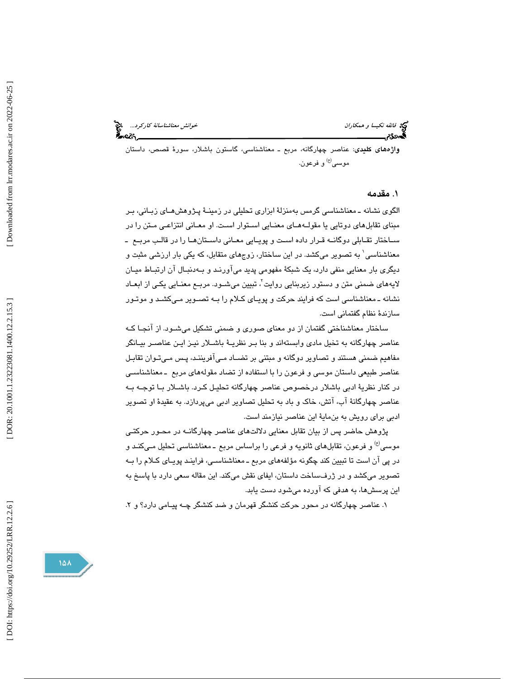خ*وانش معناشناسانهٔ کارکرد...*<br>محمد است است این معامل

ف<mark>ك</mark>ه فائقه نكيس*ا و همكاران*<br>گ**ەدئ** تر

واژههاي كليدي: عناصر چهارگانه، مربع ـ معناشناسي، گاستون باشلار، سورة قصص، داستان موسى<sup>(ع)</sup> و فرعون.

### . 1 مقدمه

الگوي نشانه ـ معناشناسي گرمس بهمنزلة ابزاري تحليلي در زمينـ ة پـژوهش هـاي زبـاني ، بـر مبناي تقابلهاي دوتايي يا مقولـه هـاي معنـايي اسـتوار اسـت. او معـاني انتزاعـي مـتن را در سـاختار تقـابلي دوگانـه قـرار داده اسـت و پويـايي معـاني داسـتانهـا را در قالـب مربـع ـ معناشناسي 1 به تصوير ميكشد. در اين ساختار، زوجهاي متقابل ، كه يكي بار ارزشي مثبت و ديگري بار معنايي منفي دارد، يک شبکهٔ مفهومي پديد ميآورنـد و بـهدنبـال آن ارتبـاط ميـان لايههای ضمنی متن و دستور زیربنایی روایت<sup>7</sup>، تبیین میشـود. مربـع معنـایی یکـی از ابعــاد نشانه ـ معناشناسي است كه فرايند حركت و پويـاي كـلام را بـه تصـوير مـي كشـد و موتـور سازندة نظام گفتماني است .

ساختار معناشناختي گفتمان از دو معناي صوري و ضمني تشكيل ميشـود. از آنجـا كـه ا عناصر چهارگانه به تخيل مادي وابسته ند و بنا بـر نظريـة باشـلار نيـز ايـن عناصـر بيـانگر مفاهيم ضمني هستند و تصاوير دوگانه و مبتني بر تضـاد مـي آفريننـد ، پـس مـي تـوان تقابـل عناصر طبيعي داستان موسي و فرعون را با استفاده از تضاد مقولههاي مربع ـ معناشناسـي در كنار نظرية ادبي باشلار درخصوص عناصر چهارگانه تحليـل كـرد. باشـلار بـا توجـه بـه عناصر چهارگانهٔ آب، آتش، خاک و باد به تحلیل تصاویر ادبی میپردازد. به عقیدهٔ او تصویر ادبي براي رويش به بنماية اين عناصر نيازمند است.

پژوهش حاضر پس از بيان تقابل معنايي دلالتهاي عناصر چهارگانـه در محـور حركتـي موسى<sup>(ع)</sup> و فرعون، تقابلهاى ثانويه و فرعى را براساس مربع ــ معناشناسى تحليل مـيكنـد و در پي آن است تا تبيين كند چگونه مؤلفههاي مربع ـ معناشناسـي، فراينـد پويـاي كـلام را بـه تصوير ميكشد و در ژرفساخت داستان، ايفاي نقش ميكند. اين مقاله سعي دارد با پاسخ به اين پرسشها، به هدفي كه آورده ميشود دست يابد.

١. عناصر چهارگانه در محور حركت كنشگر قهرمان و ضد كنشگر چـه پيـامي دارد؟ و ٢.

DOI: https://doi.org/10.29252/LRR.12.2.6

151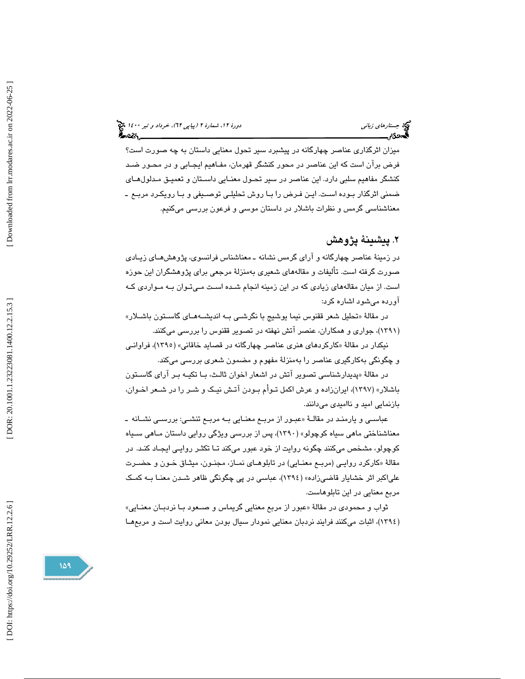جستارهاي زباني دور 1400 (بياپي 17)، خرداد و تير ١٤٠٠ ك

ميزان اثرگذاري عناصر چهارگانه در پيشبرد سير تحول معنايي داستان به چه صورت است؟ فرض برآن است كه اين عناصر در محور كنشگر قهرمان، مفـاهيم ايجـابي و در محـور ضـد كنشگر مفاهيم سلبي دارد. اين عناصر در سير تحـول معنـايي داسـتان و تعميـق مـدلول هـاي ضمني اثرگذار بـوده اسـت. ايـن فـرض را بـا روش تحليلـي توصـيفي و بـا رويكـرد مربـع ـ معناشناسي گرمس و نظرات باشلار در داستان موسي و فرعون بررسي ميكنيم.

٢. پيشينهٔ پژوهش

در زمينهٔ عناصر چهارگانه و آراي گرمس نشانه ـ معناشناس فرانسوي، پژوهشهـاي زيـادي صورت گرفته است. تأليفات و مقالههاي شعيري بهمنزلهٔ مرجعي براي پژوهشگران اين حوزه ست. از ميان مقالههاي زيادي كه در اين زمينه انجام شـده اسـت مـي تـوان بـه مـوارد ي كـه ا آورده ميشود اشاره كرد :

در مقالهٔ «تحليل شعر ققنوس نيما يوشيج با نگرشـي بــه انديشــههــاي گاســتون باشــلار» 1391)، جواري و همكاران، عنصر آتش نهفته در تصوير ققنوس را بررسي ميكنند. )

نیکدار در مقالهٔ «کارکرد*ه*ای هنری عناصر چهارگانه در قصاید خاقانی» (۱۳۹۰)، فراوانـی و چگونگي بهكارگيري عناصر را بهمنزلة مفهوم و مضمون شعري بررسي ميكند.

در مقالهٔ «پديدارشناسي تصوير آتش در اشعار اخوان ثالـث، بـا تكيـه بـر آراي گاسـتون » (1397)، ايرانزاده و عرش اكمل تـوأم بـودن آتـش نيـك و شـر را در شـعر اخـوان، باشلار بازنمايي اميد و نااميدي ميدانند.

عباسـي و يارمنـد در مقالــهٔ «عبـور از مربــع معنــايي بــه مربــع تنشــي: بررســي نشــانه ــ معناشناختي ماهي سياه كوچولو» (1390 )، پس از بررسي ويژگي روايي داستان مـاهي سـياه كوچولو، مشخص ميكنند چگونه روايت از خود عبور ميكند تـا تكثـر روايـي ايجـاد كنـد. در مقالهٔ «كاركرد روايـي (مربـع معنــايي) در تابلوهــاي نمــاز، مجنــون، ميثــاق خــون و حضــرت علياكبر اثر خشايار قاضيزاده» (1394)، عباسي در پي چگونگي ظاهر شـدن معنـا بـه كمـك مربع معنايي در اين تابلوهاست.

ثواب و محمودي در مقالهٔ «عبور از مربع معنايي گريماس و صـعود بـا نردبـان معنـايي» (١٣٩٤)، اثبات ميكنند فرايند نردبان معنايي نمودار سيال بودن معاني روايت است و مربعهـا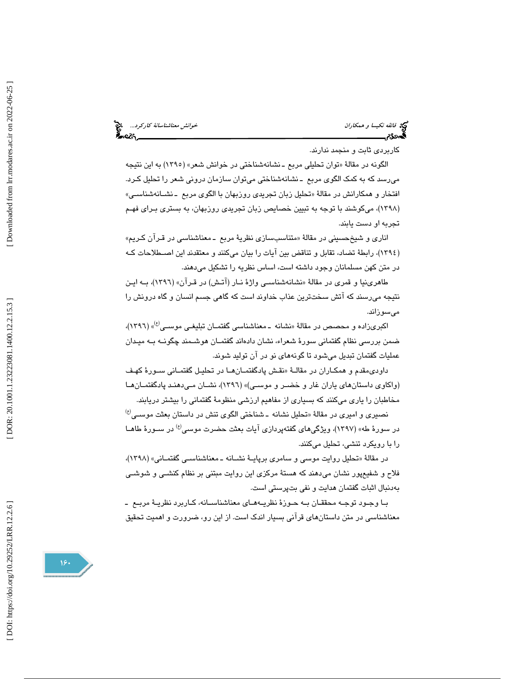خ*وانش معناشناسانهٔ کارکرد...*<br>مستقل میتوان<br>اینچارکار

فيخ<br>في *فائقه نكيسا و همكاران*<br>گ**ەدئ؟خو**انشناسانسان

كاربردي ثابت و منجمد ندارند.

الگونه در مقالهٔ «توان تحليلي مربع ـ نشانهشناختي در خوانش شعر» (١٣٩٥) به اين نتيجه ميرسد كه به كمك الگوي مربع ـ نشانه شناختي ميتوان سازمان دروني شعر را تحليل كـرد. افتخار و همکارانش در مقالهٔ «تحلیل زبان تجری*دی ر*وزبهان با الگوی مربع ـ نشــانهشناســي» (١٣٩٨)، میکوشند با توجه به تبيين خصايص زبان تجريدی روزبهان، به بستری بـرای فهـم تجربه او دست يابند.

اناري و شيخحسيني در مقالهٔ «متناسبسازي نظريهٔ مربع ــ معناشناسي در قـرآن كـريم» (١٣٩٤)، رابطهٔ تضاد، تقابل و تناقض بين ايات را بيان ميكنند و معتقدند اين اصـطلاحات كـه در متن كهن مسلمانان وجود داشته است، اساس نظريه را تشكيل ميدهند.

طاهري نيا و قمري در مقالهٔ «نشانهشناسـي واژهٔ نــار (آتـش) در قـرآن» (١٣٩٦)، بــه ايـن نتيجه میرسند که اتش سختترين عذاب خداوند است که گاهی جسم انسان و گاه درونش را ميسوزاند.

اکبریزاده و محصص در مقالهٔ «نشانه ـ معناشناسی گفتمـان تبلیغـی موســی<sup>(ع)</sup>» (۱۳۹٦)، ضمن بررسی نظام گفتمانی سورهٔ شعراء، نشان دادهاند گفتمـان هوشـمند چگونـه بـه میـدان عمليات گفتمان تبديل ميشود تا گونههاي نو در آن توليد شوند.

داودی،قدم و همکــاران در مقالــهٔ «نقــش پادگفتمــان@ــا در تـحليــل گفتمــاني ســورهٔ کهـف (واكاوي داستانهاي ياران غار و خضـر و موسـي) » (1396)، نشـان مـي دهنـد پادگفتمـان هـا مخاطبان را ياري ميكنند كه بسياري از مفاهيم ارزشي منظومة گفتماني را بيشتر دريابند.

 $^{(t)}$ نصيرى و اميرى در مقالهٔ «تحليل نشانه ــ شناختى الگوى تنش در داستان بعثت موســى در سورهٔ طه» (۱۳۹۷)، ویژگی،های گفتهپردازی آیات بعثت حضرت موسی<sup>(ع)</sup> در سـورهٔ طاهــا را با رويكرد تنشي، تحليل ميكنند.

در مقالهٔ «تحلیل روایت موسی و سامری برپایــهٔ نشــانه ــ معناشناســی گفتمــانی» (۱۳۹۸)، فلاح و شفيعپور نشان مي $\iota$ هند كه هستهٔ مركزي اين روايت مبتني بر نظام كنشـي و شوشـي بهدنبال اثبات گفتمان هدايت و نفي بتپرستي است.

بـا وجـود توجـه محققـان بـه حـوزة نظريـه هـاي معناشناسـانه، كـاربرد نظريـة مربـع ـ معناشناسي در متن داستانهاي قرآني بسيار اندك است. از اين رو، ضرورت و اهميت تحقيق

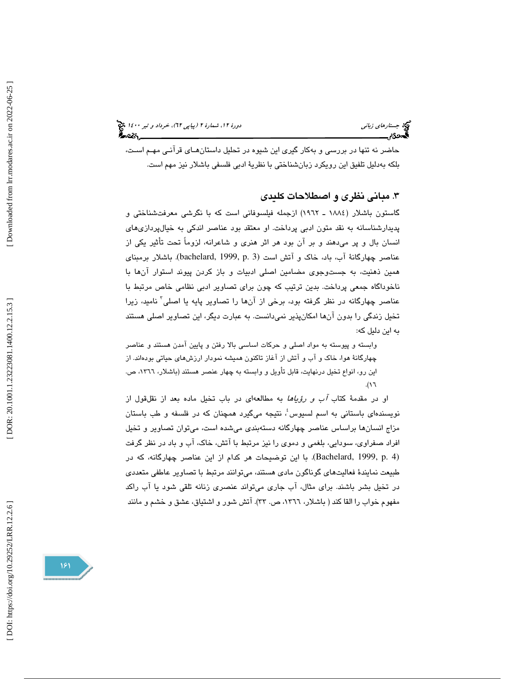حاضر نه تنها در بررسي و بهكار گيري اين شيوه در تحليل داستانهـاي قرآنـي مهـم اسـت، بلكه بهدليل تلفيق اين رويكرد زبانشناختي با نظرية ادبي فلسفي باشلار نيز مهم است.

# . مباني نظري و اصطلاحات كليدي 3

گاستون باشلار (1884 ـ 1962) ازجمله فيلسوفاني است كه با نگرشي معرفتشناختي و پديدارشناسانه به نقد متون ادبي پرداخت. او معتقد بود عناصر اندكي به خيالپردازيهاي انسان بال و پر ميدهند و بر آن بود هر اثر هنري و شاعرانه، لزوماً تحت تأثير يكي از عناصر چهارگانة آب، باد، خاك و آتش است (3 .p 1999, ,bachelard (. باشلار برمبناي و همين ذهنيت، به جست جوي مضامين اصلي ادبيات و باز كردن پيوند استوار آنها با ناخوداگاه جمعي پرداخت. بدين ترتيب كه چون براي تصاوير ادبي نظامي خاص مرتبط با عناصر چهارگانه در نظر گرفته بود، برخی از آنها را تصاویر پایه یا اصلی<sup>۲</sup> نامید، زیرا تخيل زندگي را بدون آنها امكانپذير نميدانست. به عبارت ديگر، اين تصاوير اصلي هستند به اين دليل كه:

وابسته و پيوسته به مواد اصلي و حركات اساسي بالا رفتن و پايين آمدن هستند و عناصر چهارگانة هوا، خاك و آب و آتش از آغاز تاكنون هميشه نمودار ارزشهاي حياتي بودهاند. از اين رو، انواع تخيل درنهايت، قابل تأويل و وابسته به چهار عنصر هستند (باشلار، ١٣٦٦، ص. 16.(

او در مقدمة كتاب آب و رؤياها به مطالعهاي در باب تخيل ماده بعد از نقلقول از نویسندهای باستانی به اسم لسیوس ٔ، نتیجه میگیرد همچنان که در فلسفه و طب باستان مزاج انسانها براساس عناصر چهارگانه دستهبندي ميشده است، ميتوان تصاوير و تخيل افراد صفراوي، سودايي، بلغمي و دموي را نيز مرتبط با آتش، خاك، آب و باد در نظر گرفت (4 .p 1999, ,Bachelard(. با اين توضيحات هر كدام از اين عناصر چهارگانه، كه در طبيعت نمايندة فعاليتهاي گوناگون مادي هستند، ميتوانند مرتبط با تصاوير عاطفي متعددي در تخيل بشر باشند. براي مثال، آب جاري ميتواند عنصري زنانه تلقي شود يا آب راكد مفهوم خواب را القا كند ( باشلار، ،1366 ص. 33). آتش شور و اشتياق، عشق و خشم و مانند

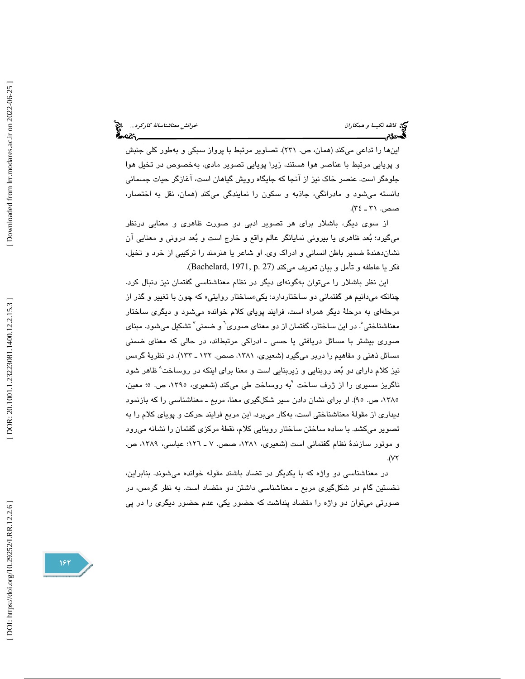ها اين را تداعي ميكند (همان، ص. 231). تصاوير مرتبط با پرواز سبكي و بهطور كلي جنبش و پويايي مرتبط با عناصر هوا هستند، زيرا پويايي تصوير مادي، بهخصوص در تخيل هوا جلوهگر است. عنصر خاك نيز از آنجا كه جايگاه رويش گياهان است، آغازگر حيات جسماني دانسته مي شود و مادرانگي، جاذبه و سكون را نمايندگي مي كند (همان، نقل به اختصار، صص. ٣١ ـ ٣٤).

از سوي ديگر، باشلار براي هر تصوير ادبي دو صورت ظاهري و معنايي درنظر ميگيرد؛ بعد ظاهري يا بيروني نمايانگر عالم واقع و خارج است و بعد دروني و معنايي آن نشاندهندة ضمير باطن انساني و ادراك وي. او شاعر يا هنرمند را تركيبي از خرد و تخيل، فكر يا عاطفه و تأمل و بيان تعريف ميكند (Bachelard, 1971, p. 27).

اين نظر باشلار را ميتوان بهگونهاي ديگر در نظام معناشناسي گفتمان نيز دنبال كرد. چنانكه مىدانيم هر گفتمانى دو ساختاردارد: يكى«ساختار روايتى» كه چون با تغيير و گذر از مرحلهاي به مرحلهٔ ديگر همراه است، فرايند پوياي كلام خوانده مي شود و ديگري ساختار معناشناختی ؓ. در این ساختار، گفتمان از دو معنای صوری<sup>٬</sup> و ضمنی<sup>٬</sup> تشکیل میشود. مبنای صوري بيشتر با مسائل دريافتي يا حسي ـ ا ادراكي مرتبط ند، در حالي كه معناي ضمني مسائل ذهني و مفاهيم را دربر ميگيرد (شعيري، ،1381 صص. 132 ـ 133). در نظرية گرمس نيز كلام داراى دو بُعد روبنايي و زيربنايي است و معنا براى اينكه در روساخت^ظاهر شود ناگريز مسيري را از ژرف ساخت <sup>۱</sup>به روساخت طي ميكند (شعيري، ١٣٩٥، ص. ٥؛ معين، ،1385 ص. 95). او براي نشان دادن سير شك لگيري معنا، مربع ـ معناشناسي را كه بازنمود ديداري از مقولهٔ معناشناختي است، بهكار ميبرد. اين مربع فرايند حركت و پوياي كلام را به تصوير ميكشد. با ساده ساختن ساختار روبنايي كلام، نقطهٔ مركزي گفتمان را نشانه ميرود و موتور سازندة نظام گفتماني است (شعيري، ،1381 صص. ـ 7 126؛ عباسي، ،1389 ص. 72.(

در معناشناسي دو واژه كه با يكديگر در تضاد باشند مقوله خوانده ميشوند. بنابراين، نخستين گام در شكلگيري مربع ـ معناشناسي داشتن دو متضاد است. به نظر گرمس، در صورتي ميتوان دو واژه را متضاد پنداشت كه حضور يكي، عدم حضور ديگري را در پي

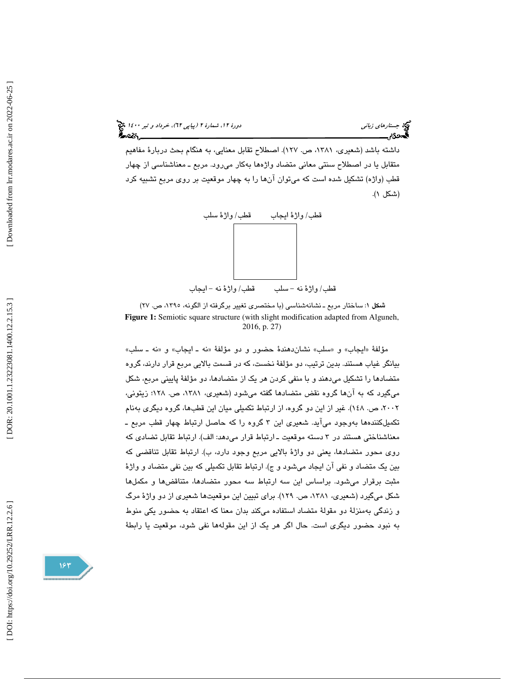جستارهاي زباني دور 1400 (بياپي 17)، خرداد و تير ١٤٠٠ ك

داشته باشد (شعيري، ،1381 ص. 127). اصطلاح تقابل معنايي، به هنگام بحث دربارة مفاهيم متقابل يا در اصطلاح سنتي معاني متضاد واژهها بهكار ميرود. مربع ـ معناشناسي از چهار قطب (واژه) تشكيل شده است كه ميتوان آنها را به چهار موقعيت بر روي مربع تشبيه كرد (شكل )1.



شكل 1: ساختار مربع ـ نشانهشناسي (با مختصري تغيير برگرفته از الگونه، ،1395 ص. )27 **Figure 1:** Semiotic square structure (with slight modification adapted from Alguneh, 2016, p. 27)

مؤلفهٔ «ايجاب» و «سلب» نشاندهندهٔ حضور و دو مؤلفهٔ «نه ـ ايجاب» و «نه ـ سلب» بيانگر غياب هستند. بدين ترتيب، دو مؤلفة نخست، كه در قسمت بالايي مربع قرار دارند، گروه متضادها را تشكيل ميدهند و با منفي كردن هر يك از متضادها، دو مؤلفة پاييني مربع، شكل ميگيرد كه به آنها گروه نقض متضادها گفته ميشود (شعيري، ،1381 ص. 128؛ زيتوني، ،2002 ص. 148). غير از اين دو گروه، از ارتباط تكميلي ميان اين قطبها، گروه ديگري بهنام تكميلكنندهها بهوجود ميآيد. شعيري اين 3 گروه را كه حاصل ارتباط چهار قطب مربع ـ معناشناختي هستند در 3 دسته موقعيت ـ ارتباط قرار ميدهد: الف). ارتباط تقابل تضادي كه روي محور متضادها، يعني دو واژة بالايي مربع وجود دارد، ب). ارتباط تقابل تناقضي كه بين يك متضاد و نفي آن ايجاد ميشود و ج). ارتباط تقابل تكميلي كه بين نفي متضاد و واژة مثبت برقرار ميشود. براساس اين سه ارتباط سه محور متضادها، متناقضها و مكملها شكل ميگيرد (شعيري، ،1381 ص. 129). براي تبيين اين موقعيتها شعيري از دو واژة مرگ و زندگي بهمنزلة دو مقولة متضاد استفاده ميكند بدان معنا كه اعتقاد به حضور يكي منوط به نبود حضور ديگري است. حال اگر هر يك از اين مقولهها نفي شود، موقعيت يا رابطة

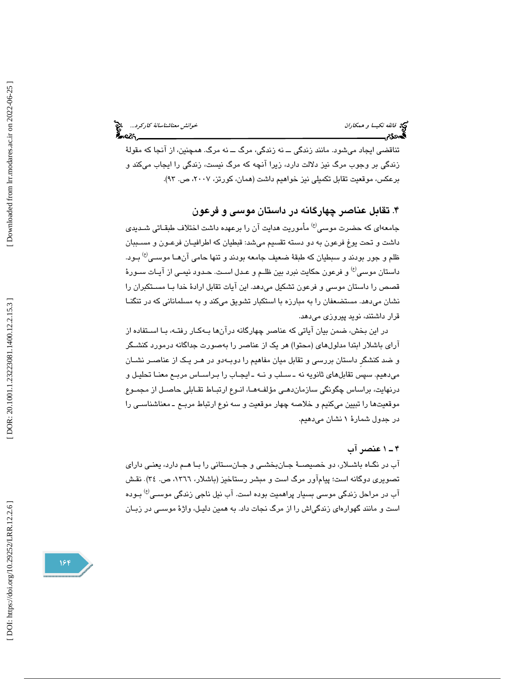تناقضي ايجاد ميشود. مانند زندگي ــ نه زندگي، مرگ ــ نه مرگ. همچنين، از آنجا كه مقولة زندگي بر وجوب مرگ نيز دلالت دارد، زيرا آنچه كه مرگ نيست، زندگي را ايجاب ميكند و برعكس، موقعيت تقابل تكميلي نيز خواهيم داشت (همان، كورتز، ٢٠٠٧، ص. ٩٣).

# ۴. تقابل عناصر چهارگانه در داستان موسی و فرعون

جامعهاي كه حضرت موسى<sup>(ع)</sup> مأموريت هدايت آن را برعهده داشت اختلاف طبقـاتي شـديدي داشت و تحت یوغ فرعون به دو دسته تقسیم میشد: قبطیان که اطرافیـان فرعـون و مســببان ظلم و جور بودند و سبطيان كه طبقهٔ ضعيف جامعه بودند و تنها حامی آنهـا موســی<sup>(ع)</sup> بـود. داستان موسى<sup>(ع)</sup> و فرعون حكايت نبرد بين ظلـم و عـدل اسـت. حـدود نيمـي از آيــات ســورهٔ قصص را داستان موسي و فرعون تشكيل ميدهد. اين آيات تقابل ارادة خدا بـا مسـتكبران را نشان ميدهد. مستضعفان را به مبارزه با استكبار تشويق ميكند و به مسلماناني كه در تنگنـا قرار داشتند، نويد پيروزي ميدهد.

در اين بخش، ضمن بيان آياتي كه عناصر چهارگانه درآنها بـه كـار رفتـه، بـا اسـتفاده از آراي باشلار ابتدا مدلولهاي (محتوا) هر يك از عناصر را بهصورت جداگانه درمورد كنشـگر و ضد كنشگرِ داستان بررسي و تقابل ميان مفاهيم را دوبـه دو در هـر يـك از عناصـر نشـان ميدهيم. سپس تقابلهاي ثانويه نه ـ سـلب و نـه ـ ايجـاب را بـر اسـاس مربـع معنـا تحليـل و درنهايت، براساس چگونگي سازماندهـي مؤلفـه هـا ، انـوع ارتبـاط تقـابلي حاصـل از مجمـوع موقعيتها را تبيين ميكنيم و خلاصه چهار موقعيت و سه نوع ارتباط مربـع ـ معناشناسـي را در جدول شمارة 1 نشان ميدهيم.

# 1ـ 4 عنصر آب

آب در نگـاه باشـلار، دو خصيصـ ة جـانبخشـي و جـانسـتاني را بـا هـم دارد ، يعنـي داراي تصويري دوگانه است؛ پيامآور مرگ است و مبشر رستاخيز (باشلار، ١٣٦٦، ص. ٣٤). نقش آب در مراحل زندگی موسی بسیار پراهمیت بوده است. آب نیل ناجی زندگی موسـی<sup>(ع)</sup> بـوده است و مانند گهوارهاي زندگياش را از مرگ نجات داد.به همين دليـل، واژ ة موسـي در ز بـ ان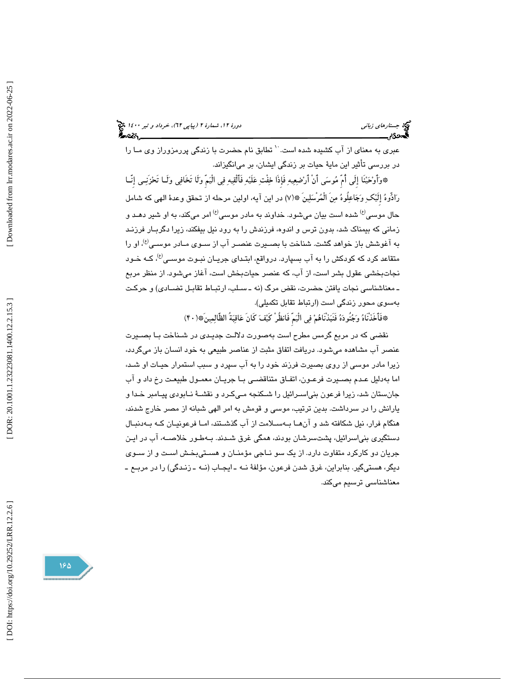جستارهاي زباني دور 1400 (بياپي 17)، خرداد و تير ١٤٠٠ ك

عبری به معنای از آب کشیده شده است. `` تطابق نام حضرت با زندگی پررمزوراز وی مـا را در بررسی تأثير اين مايهٔ حيات بر زندگی ايشان، بر میانگيزاند.

\*وَأَوْحَيْنَا إِلَى أَمَّ مُوسَى أَنْ أَرْضِعِيهِ فَإِذَا خِفْتِ عَلَيْهِ فَأَلْقِيهِ فِي الْيَمَّ وَلَا تَخَافِي وَلَـا تَحْزَنِـي إِنَّــا رَادُّوهُ إِلَيْكِ وَجَاعِلُوهُ مِنَ الْمُرْسَلِينَ ۞(٧) در اين آيه، اولين مرحله از تحقق وعدهٔ الهي كه شامل حال موسى<sup>(ع)</sup> شده است بيان مىشود. خداوند به مادر موسى<sup>(ع)</sup> امر مىكند، به او شير دهـد و زماني كه بيمناك شد، بدون ترس و اندوه، فرزندش را به رود نيل بيفكند ، زيرا ردگ بـار فرزنـد به آغوشش باز خواهد گشت. شناخت با بصـيرت عنصـر آب از سـوي مـادر موسـي<sup>(ع)</sup>، او را متقاعد كرد كه كودكش را به آب بسپارد. درواقع، ابتـدای جريـان نبـوت موسـ*ي'<sup>غ)</sup>، ك*ـه خـود نجاتبخشي عقول بشر است، از آب ، كه عنصر حياتبخش است، آغاز ميشود . از منظر مربع ـ معناشناسي نجات يافتن حضرت، نقض مرگ (نه ـ سـلب، ارتبـاط تقابـل تضـادي) و حركـت بهسوي محور زندگي است (ارتباط تقابل تكميلي).

\*فَأَخَذْنَاهُ وَجُنُودَهُ فَنُبَذْنَاهُمْ فِي الْيَمِّ فَانظُرْ كَيْفَ كَانَ عَاقِبَةَ الظَّالِمِينَ\*(٣٠)

نقضي كه در مربع گرمس مطرح است بهصورت دلالـت جديـدي در شـناخت بـا بصـيرت عنصر آب مشاهده ميشود. دريافت اتفاق مثبت از عناصر طبيعي به خود انسان باز ميگردد ، زيرا مادر موسي از روي بصيرت فرزند خود را به آب سپرد و سبب استمرار حيـات او شـد ، اما بهدليل عـدم بصـيرت فرعـون، اتفـاق متناقضـي بـا جريـان معمـول طبيعـت رخ د اد و آب جانستان شد، زيرا فرعون بنياسـرائيل را شـكنجه مـي كـرد و نقشـة نـابودي پيـامبر خـدا و يارانش را در سرداشت . بدين ترتيب، موسي و قومش به امر الهي شبانه از مصر خارج شدند ، هنگام فرار، نيل شكافته شد و آنهـا بـه سـلامت از آب گذشـتند، امـا فرعونيـان كـه بـه دنبـال دستگيري بنياسرائيل، پشتسرشان بودند، همگي غرق شـدند. بـه طـور خلاصـه، آب در ايـن جريان دو كاركرد متفاوت دارد. از يک سو نـاجي مؤمنـان و هسـتيبخـش اسـت و از سـوي ديگر، هستيگير. بنابراين، غرق شدن فرعون، مؤلفة نـه ـ ايجـاب (نـه ـ زنـدگي) را در مربـع ـ معناشناسي ترسيم ميكند.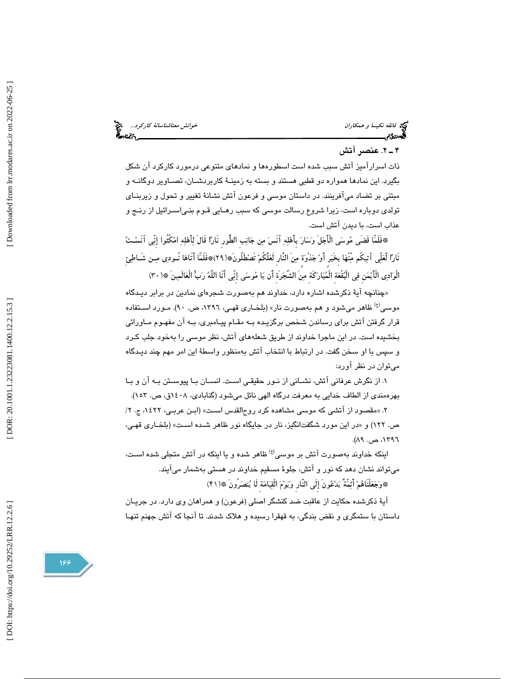خ*وانش معناشناسانهٔ کارکرد...*<br>مح**اکار این مناشناسان** در این محا

# فيخ<br>في *فائقه نكيسا و همكاران*<br>گ**ەدئ؟خو**انسانسانسان

# 2ـ 4 . عنصر آتش

ذات اسرارآميز آتش سبب شده است اسطورهها و نمادهاي متنوعي درمورد كاركرد آن شكل بگيرد. اين نمادها همواره دو قطبي هستند و بسته به زمينـ ة كاربردشـا ن، تصـاوير دوگانـه و مبتني بر تضاد ميآفرينند. در داستان موسى و فرعون آتش نشانهٔ تغيير و تحول و زيربنــاي تولدي دوباره است، زيرا شروع رسالت موسى كه سبب رهـايي قـوم بنـي|ســرائيل از رنــج و عذاب است، با ديدن آتش است.

فَلَمّا قَضَى موسي الْأَجلَ وسار بِأَهله آنَس من جانبِ الطُّورِ نَارا قَالَ لأَهله امكُثُوا إِنّي آنَسـت \* نَارًا لَعَلّي آتِيكُم مّنْهَا بِخَبَرٍ أَوْ جَذْوَةٍ مِنَ النَّارِ لَعَلَّكُمْ تَصْطَلُونَ\*(٢٩)\*فَلَمَّا أَتَاهَا نُـودِى مِـن شَـاطِئ الْوَادِي الْأَيْمَنِ فِي الْبُقْعَةِ الْمُبَارَكَةِ مِنَ الشَّجَرَةِ أَن يَا مُوسَى إِنِّي أَنَا اللَّهُ رَبٍّ الْعَالَمِينَ ۞(٣٠)

«چنانچه ایهٔ ذکرشده اشاره دارد، خداوند هم بهصورت شجرها*ی* نمادین در برابر دیـدگاه موسى<sup>(ع)</sup> ظاهر مىشود و هم بهصورت نار» (بلخـارى قهـى، ١٣٩٦، ص. ٩٠). مـورد اسـتفاده قرار گرفتن آتش براي رساندن شخص برگزيـده بـه مقـام پيـامبري، بـه آن مفهـوم مـاورائي بخشيده است. در اين ماجرا خداوند از طريق شعلههاي آتش، نظر موسي را بهخود جلب كـرد و سپس با او سخن گفت. در ارتباط با انتخاب آتش بهمنظور واسط ة اين امر مهم چند ديـدگاه ميتوان در نظر آورد :

 1. از نگرش عرفاني آتش ، نشـاني از نـور حقيقـي اسـت. انسـان بـا پيوسـتن بـ ه آن و بـا بهرهمندي از الطاف خدايي به معرفت درگاه الهي نائل ميشود (گنابادي، ۱٤۰۸ق، ص. ۱۵۳).

« 2. مقصود از آتشي كه موسي مشاهده كرد روحالقدس اسـت » (ابـن عربـي، 1422 2 ج. ، / ص. ١٢٢) و «در اين مورد شگفتانگيز، نار در جايگاه نور ظاهر شـده اسـت» (بلخـاري قهـي، ، 1397 ص.  $AA$ .

اینکه خداوند بهصورت آتش بر موسی<sup>(ع)</sup> ظاهر شده و یا اینکه در آتش متجلی شده اسـت، ميتواند نشان دهد كه نور و آتش، جلو ة مسقيم خداوند در هستي بهشمار ميآيند. \*وَجَعَلْنَاهُمْ أَئِمَّةً يَدْعُونَ إِلَى النَّارِ وَيَوْمَ الْقِيَامَةِ لَا يُنصَرُونَ ۞(١٩١)

آية ذكرشده حكايت از عاقبت ضد كنشگر اصلي (فرعون) و همراهان وي دارد. در جريـان داستان با ستمگري و نقض بندگي، به قهقرا رسيده و هلاك شدند. تا آنجا كه آتش جهنم تنهـا

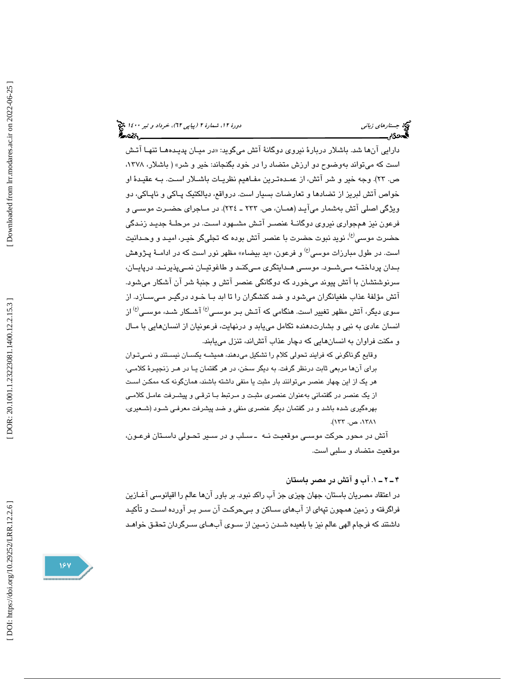جستارهاي زباني دور 1400 (بياپي 17)، خرداد و تير ١٤٠٠ ك

دارايي انها شد. باشلار دربارهٔ نيروی دوگانهٔ اتش میگويد: «در ميـان پديـدههـا تنهـا اتـش است كه ميتواند بهوضوح دو ارزش متضاد را در خود بگنجاند: خير و شر » ( باشلار، ،1378 ص. ٢٣). وجه خير و شر آتش، از عمـدهتـرين مفـاهيم نظريـات باشـلار اسـت. بـه عقيـدهٔ او خواص آتش لبريز از تضادها و تعارضات بسيار است. درواقع، ديالكتيک پـاكي و ناپـاكي، دو ويژگي اصلي آتش بهشمار ميآيـد (همـان ، ص. 233 ـ 234 .) در مـاجراي حضـ رت موسـي و فرعون نيز همجواري نيروي دوگانــهٔ عنصـر آتـش مشــهود اسـت. در مرحلــهٔ جديـد زنـدگي حضرت موسى<sup>(ع)</sup>، نويد نبوت حضرت با عنصر آتش بوده كه تجليگر خيـر، اميـد و وحـدانيت است. در طول مبارزات موسى<sup>(ع)</sup> و فرعون، «يد بيضاء» مظهر نور است كه در ادامــهٔ پـژوهش بــدان پرداختــه مــيشــود. موســي هــدايتگري مــيكنــد و طاغوتيــان نمــيپذيرنــد. درپايــان ، سرنوشتشان با آتش پيوند ميخورد كه دوگانگي عنصر آتش و جنبهٔ شر آن آشكار مي شود. آتش مؤلفهٔ عذاب طغیانگران میشود و ضد كنشگران را تا ابد بـا خـود درگیـر مـیسـازد. از سوی دیگر، آتش مظهر تغییر است. هنگامی که آتـش بـر موسـی $^{(9)}$  آشـکار شـد، موسـی $^{(9)}$  از انسان عادي به نبي و بشارتدهنده تكامل مييابد و درنهايت ، فرعونيان از انسانهايي با مـال و مكنت فراوان به انسانهايي كه دچار عذاب آتشاند، تنزل مييابند.

وقايع گوناگوني كه فرايند تحولي كلام را تشكيل ميدهند، هميشـه يكسـان نيسـ تند و نمـي تـوان براي آنها مربعي ثابت درنظر گرفت. به ديگر سخن، در هر گفتمان يـا در هـر زنجيـرة كلامـي، هر يك از اين چهار عنصر ميتوانند بار مثبت يا منفي داشته باشند، همانگونه كـه ممكـن اسـت از يک عنصر در گفتماني بهعنوان عنصري مثبـت و مـرتبط بـا ترقـي و پيشـرفت عامـل كلامـي بهرهگيري شده باشد و در گفتمان ديگر عنصري منفي و ضد پيشرفت معرفـي شـود (شـعيري، ،1381 ص. 133).

آتش در محور حركت موسـي موقعيـت نـه ـ سـلب و در سـير تحـولي داسـتان فرعـون، موقعيت متضاد و سلبي است.

. 1ـ 2 ـ 4 آب و آتش در مصر باستان

در اعتقاد مصريان باستان، جهان چيزي جز آب راكد نبود. بر باور آنها عالم را اقيانوسي آغـازين فراگرفته و زمين همچون تپهاي از آبهاي سـاكن و بـي حركـت آن سـر بـر آورده اسـت و تأكيـد داشتند كه فرجام الهي عالم نيز با بلعيده شـدن زمـين از سـوي آبهـاي سـرگردان تحقـق خواهـد

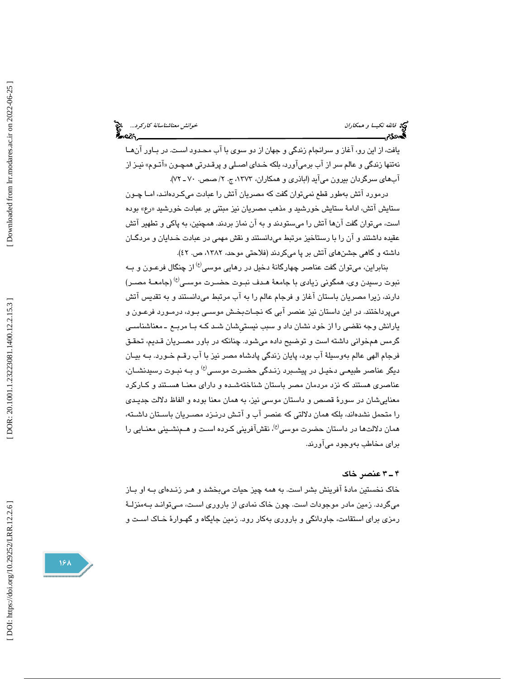يافت، از اين رو، آغاز و سرانجام زندگي و جهان از دو سوي با آب محـدود اسـت. در بـاور آن هـا نهتنها زندگی و عالم سر از اب برمی!ورد، بلكه خـدای اصـلی و پرقـدرتی همچـون «اتـوم» نیـز از آبهاي سرگردان بيرون مي آيد (اباذري و همكاران، 1373 ، 2ج. / صص. ـ 70 .)72

 درمورد آتش بهطور قطع نميتوان گفت كه مصريان آتش را عبادت ميكـرده انـد، امـا چـون ستايش اتش، ادامهٔ ستايش خورشيد و مذهب مصريان نيز مبتني بر عبادت خورشيد «رع» بوده است، ميتوان گفت آنها آتش را ميستودند و به آن نماز بردند. همچنين، به پاكي و تطهير آتش عقيده داشتند و آن را با رستاخيز مرتبط ميدانستند و نقش مهمي در عبادت خـدايان و مردگـان داشته و گاهي جشنهاي آتش بر پا ميكردند (فلاحتي موحد، ١٣٨٢، ص. ٤٢).

بنابراين، مىتوان گفت عناصر چهارگانهٔ دخيل در رهايى موسى<sup>(ع)</sup> از چنگال فرعـون و بــه نبوت رسيدن وي، همگوني زيادي با جامعهٔ هـدف نبـوت حضـرت موسـي<sup>(ع)</sup> (جامعـهٔ مصـر) دارند ، زيرا مصريان باستان آغاز و فرجام عالم را به آب مرتبط ميدانستند و به تقديس آتش ميپرداختند. در اين داستان نيز عنصر آبي كه نجـات بخـش موسـي بـود ، درمـورد فرعـون و يارانش وجه نقضي را از خود نشان داد و سبب نيستيِشان شـد كـه بـا مربـع ـ امعن شناسـي گرمس همخواني داشته است و توضيح داده ميشود. چنانكه در باور مصـريان قـديم، تحقـق فرجام الهي عالم بهوسيلهٔ آب بود، پايان زندگي پادشاه مصر نيز با آب رقـم خـورد. بـه بيـان ديگر عناصر طبي*عـي* دخيـل در پيشـبرد زنـدگي حضـرت موسـي<sup>(ع)</sup> و بــه نبـوت رسـيدنشــان، عناصري هستند كه نزد مردمان مصر باستان شناخت هشـده و داراي معنـا هسـتند و كـاركرد معناييشان در سور ة قصص و داستان موسي نيز، به همان معنا بوده و الفاظ دلالت جديـدي را متحمل نشدهاند، بلكه همان دلالتي كه عنصر آب و آتـش درنـزد مصـريان باسـتان داشـته، همان دلالتـها در داستان حضرت موسى<sup>ع)</sup>، نقشآفريني كـرده اسـت و هـمنشـيني معنـايي را براي مخاطب بهوجود ميآورند.

### 3ـ 4 عنصر خاك

خاک نخستين مادۀ آفرينش بشر است. به همه چيز حيات ميبخشد و هـر زنـدهاى بـه او بـاز ميگردد. زمين مادر موجودات است. چون خاك نمادي از باروري اسـت، مـي توانـد بـه منزلـة رمزي براي استقامت، جاودانگي و بارور ي بهكار رود. زمين جايگاه و گهـوار ة خـاك اسـت و

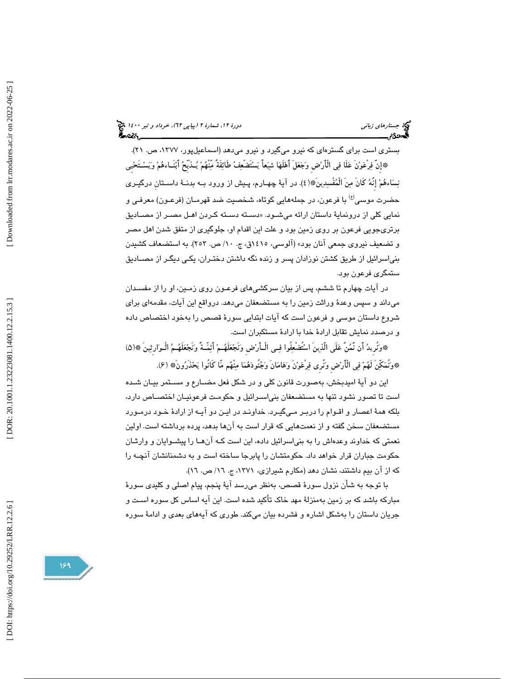(پياپي 62)، خرداد و تير 1400

بستري است براي گسترهاي كه نيرو ميگيرد و نيرو ميدهد (اسماعيلپور، ،1377 ص. .)21 إِنَّ فرْعونَ علَا في الْأَرضِ وجعلَ أَهلَها شيعاً يستَضْعف طَائفَةً مّنْهم يـذَبِّح أَبنَـاءهم ويسـ تَحيِي \* نِسَاءهُمْ إِنَّهُ كَانَ مِنَ الْمُفْسِدِينَ\*﴿(٤) در آيةً چهـارم، پـيش از ورود بـه بدنــة داســتانِ درگيــري حضرت موسى<sup>(ع)</sup> با فرعون، در جملههايي كوتاه، شخصيت ضد قهرمـان (فرعـون) معرفـي و نمايي كلي از درونماية داستان ارائه مي شـود. «دسـته دسـته كـردن اهـل مصـر از مصـاديق برتريجويي فرعون بر روي زمين بود و علت اين اقدام او، جلوگيري از متفق شدن اهل مصر و تضعيف نيروي جمعي آنان بود» (آلوسي، 1415ق، ج. /10 ص. 253 .) به استضعاف كشيدن بنياسرائيل از طريق كشتن نوزادان پسر و زنده نگه داشتن دختـران ، يكـي ديگـر از مصـاديق ستمگري فرعون بود .

در ايات چهارم تا ششم، پس از بيان سركشىهاى فرعـون روى زمـين، او را از مفسـدان ميداند و سپس وعدة وراثت زمين را به مستضعفان ميدهد. درواقع اين آيات، مقدمهاي براي شروع داستان موسي و فرعون است كه آيات ابتدايي سور ة قصص را بهخود اختصاص داده و درصدد نمايش تقابل ارادهٔ خدا با ارادهٔ مستكبران است.

ونُرِيد أَن نَّمنَّ علَى الَّذينَ استُضْعفُوا فـي الْـأَرضِ ونَجعلَهـم أَئمّـةً ونَجعلَهـم الْـوارِثينَ ) 5\*( \* \*وَنَمَكْنِ لَهُمْ فِي الْأَرْضِ وَنَرى فِرْعَوْنَ وَهَامَانَ وَجُنُودَهُمَا مِنْهُم مَّا كَانُوا يَحْذَرُونَ\* (ع).

اين دو آيهٔ اميدبخش، بهصورت قانون كلي و در شكل فعل مضـارع و مسـتمر بيـان شـده است تا تصور نشود تنها به مستضعفان بنياسـرائيل و حكومـت فرعونيـان اختصـاص دارد ، بلكه هم ة اعصار و اقـوام را در بـر مـي گيـرد . خداونـد در ايـن دو آيـه از اراد ة خـود در مـور د مستضعفان سخن گفته و از نعمتهايي كه قرار است به آنها بدهد، پرده برداشته است. اولين نعمتي كه خداوند وعدهاش را به بنياسرائيل داده، اين است كـه آن هـا را پيشـوايان و وارثـان حكومت جباران قرار خواهد داد. حكومتشان را پابرجا ساخته است و به دشمنانشان آنچـه را كه از آن بيم داشتند، نشان دهد (مكارم شيرازي، ١٣٧١، ج. ١٦/ ص. ١٦).

با توجه به شأن نزول سورهٔ قصص، بهنظر میرسد آيهٔ پنجم، پيام اصلی و كليدی سورهٔ مباركه باشد كه بر زمين بهمنزلة مهد خاك تأكيد شده است. اين آيه اساس كل سوره اسـت و جريان داستان را بهشكل اشاره و فشرده بيان ميكند. طوري كه آيههاي بعدي و ادامهٔ سوره

 $199$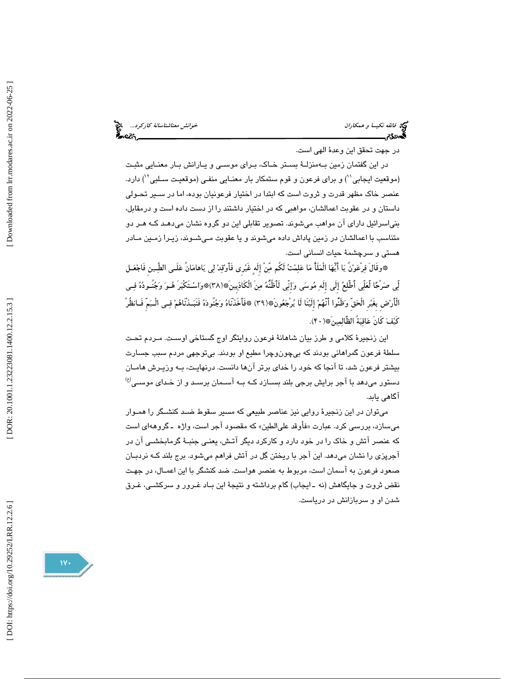خ*وانش معناشناسانهٔ کارکرد...*<br>مح**اکثر میتاشناسانهٔ** کارکرد...

فيخ<br>في *فائقه نكيسا و همكاران*<br>گ**ەدئ؟خو**انشناسانسان

در جهت تحقق اين وعدهٔ الهي است.

در اين گفتمان زمين بـه منزلـة بسـتر خـاك، بـراي موسـي و يـارانش بـار معنـايي مثبـت (موقعيت ايجابي``) و براي فرعون و قوم ستمكار بار معنـايي منفـي (موقعيـت سـلبي´`) دارد. عنصر خاك مظهر قدرت و ثروت است كه ابتدا در اختيار فرعونيان بوده، اما در سـير تحـولي داستان و در عقوبت اعمالشان، مواهبي كه در اختيار داشتند را از دست داده است و درمقابل، بنياسرائيل داراي آن مواهب ميشوند. تصوير تقابلي اين دو گروه نشان ميدهـد كـه هـر دو متناسب با اعمالشان در زمين پاداش داده ميشوند و يا عقوبت مـي شـوند ، زيـرا زمـين مـادر هستي و سرچشمة حيات انساني است.

\*وقَالَ فِرْعَوْنَ يَا أَيُّهَا الْمَلَأُ مَا عَلِمْتُ لَكُم مّنْ إِلَهٍ غَيْرِي فَأَوْقِدْ لِي يَاهامَانَ عَلَـى الطِّـين فَاجْعَـل لّي صرْحا لَّعلّي أَطَّلع إِلَى إِلَه موسى وإِنّي لَأَظُنُّه منَ الْكَاذبِينَ\*(38)\*واسـتَكْبرَ هـو وجنُـوده فـي الْأَرضِ بِغَيرِ الْحقِّ وظَنُّوا أَنَّهم إِلَينَا لَا يرْجعونَ\*(39) \*فَأَخَذْنَاه وجنُوده فَنَبـذْنَاهم فـي الْـيمِّ فَـانظُرْ كَيْفَ كَانَ عَاقبَةُ الظَّالمينَ\* ( ۴۰).

اين زنجيرهٔ كلامي و طرز بيان شاهانهٔ فرعون روايتگر اوج گستاخي اوست. مـردم تحت سلطهٔ فرعون گمراهانی بودند كه بیچونوچرا مطیع او بودند. بیتوجهی مردم سبب جسارت بيشتر فرعون شد، تا آنجا كه خود را خداي برتر آنها دانست. درنهايـت، بـه وزيـرش هامـان  $^{(8)}$ دستور میدهد با آجر برایش برجی بلند بسـازد کـه بـه آسـمان برسـد و از خـدای موسـی آگاهي يابد.

 ميتوان در اين زنجير ة روايي نيز عناصر طبيعي كه مسير سقوط ضـد كنشـگر را همـوار میسازد، بررسی کرد. عبارت «فأوقد علیالطین» که مقصود اجر است، واژه ـ گروههای است كه عنصر آتش و خاك را در خود دارد و كاركرد ديگر آتـش ، يعنـي جنبـ ة گرمابخشـي آن در آجرپزي را نشان ميدهد. اين آجر با ريختن گل در آتش فراهم ميشود. برج بلند كـه نردبـان صعود فرعون به آسمان است، مربوط به عنصر هواست. ضد كنشگر با اين اعمـال، در جهـت نقض ثروت و جايگاهش (نه ـ ايجاب) گام برداشته و نتيج ة اين بـاد غـرور و سركشـي، غـرق شدن او و سربازانش در درياست.

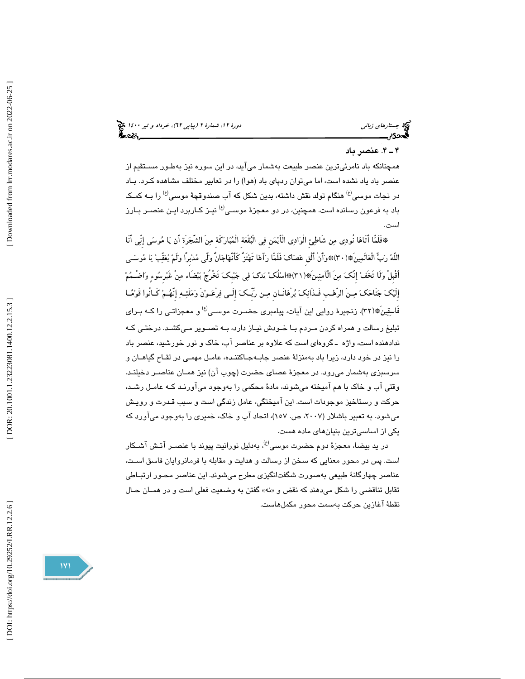جستارهاي زباني دور 1400 (بياپي 17)، خرداد و تير ١٤٠٠ ك

## 4ـ 4 . عنصر دبا

همچنانكه باد نامرئي ترين عنصر طبيعت بهشمار ميآيد، در اين سوره نيز بهطـور مسـتقيم از عنصر باد ياد نشده است، اما ميتوان ردپاي باد (هوا) را در تعابير مختلف مشاهده كـرد . بـاد در نجات موسى<sup>(ع)</sup> هنگام تولد نقش داشته، بدين شكل كه آب صندوقچهٔ موسى<sup>(ع)</sup> را بــه كمـك باد به فرعون رسانده است. همچنین، در دو معجزهٔ موسـی<sup>(ع)</sup> نیـز کـاربرد ایـن عنصـر بـارز است.

فَلَمّا أَتَاها نُودي من شَاطئِ الْوادي الْأَيمنِ في الْبقْعةِ الْمباركَةِ منَ الشَّجرَةِ أَن يا موسى إِنّي أَنَا \* اللَّه ربّ الْعالَمينَ\*(30)\*وأَنْ أَلْقِ عصاك فَلَمّا رآها تَهتَزُّ كَأَنَّهاجانٌّ ولَّى مدبِرًا ولَم يعقّب يا موسـى أَقْبِلْ ولَا تَخَف إِنَّك منَ الْĤمنينَ\*(31)\*اسلُك يدك في جيبِك تَخْرُج بيضَاء منْ غَيرِسوء واضْـمم إِلَيك جنَاحك مـنَ الرَّهـبِ فَـذَانك برْهانَـ انِ مـن رّبِّـك إِلَـى فرْعـونَ وملَئـه إِنَّهـم كَـانُوا قَومـا فَاسقِينَ\*(٣٢). زنجيرهٔ روايي اين آيات، پيامبري حضـرت موسـي<sup>(ع)</sup> و معجزاتـي را كــه بــراي تبليغ رسالت و همراه كردن مـردم بـا خـودش نيـاز دار د، بـه تصـوير مـي كشـد. درختـي كـه ندادهنده است، واژه ـ گروهاي است كه علاوه بر عناصر آب، خاك و نور خورشيد، عنصر باد را نيز در خود دارد ، زيرا باد بهمنزلة عنصر جابـ هجـا كننـده، عامـل مهمـي در لقـاح گياهـان و سرسبزي بهشمار مي رود. در معجزهٔ عصاي حضرت (چوب آن) نيز همـان عناصـر دخيلنـد. وقتي آب و خاك با هم آميخته ميشوند، ماد ة محكمي را بهوجود ميآورنـد كـه عامـل رشـد، حركت و رستاخيز موجودات است. اين آميختگي، عامل زندگي است و سبب قـدرت و رويـش مي شود. به تعبير باشلار (٢٠٠٧، ص. ١٥٧)، اتحاد آب و خاك، خميري را بهوجود ميآورد كه يكي از اساسيترين بنيانهاي ماده هست .

در يد بيضـا، معجزهٔ دوم حضرت موسـى<sup>(ع)</sup>، بـهدليل نورانيت پيوند با عنصــر آتـش آشــكار است. پس در محور معنايي كه سخن از رسالت و هدايت و مقابله با فرمانروايان فاسق اسـت ، عناصر چهارگانهٔ طبيعي بهصورت شگفتانگيزي مطرح ميشوند. اين عناصر محـور ارتبـاطي تقابل تناقضي را شكل ميدهند كه نقض و »هن« گفتن به وضعيت فعلي است و در همـان حـال نقطة آغازين حركت بهسمت محور مكملهاست.

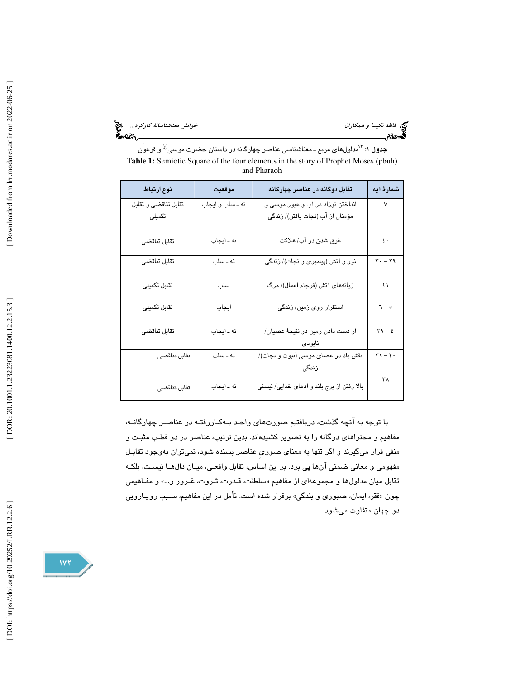خ*وانش معناشناسانهٔ کارکرد...*<br>گ**ارگ**ردگار<br>گارگار

فتيخ فائقه نكيس*ا و همكاران*<br>گ**ەددى**م

**جدول ۱**: <sup>۱٬</sup>مدلولهای مربع ـ معناشناسی عناصر چهارگانه در داستان حضرت موسی<sup>(ع)</sup> و فرعون **Table 1:** Semiotic Square of the four elements in the story of Prophet Moses (pbuh) and Pharaoh

| نوع ارتباط           | موقعيت           | تقابل دوگانه در عناصر چهارگانه             | شمارهٔ آیه                                       |
|----------------------|------------------|--------------------------------------------|--------------------------------------------------|
| تقابل تناقضي و تقابل | نه ـ سلب و ايجاب | انداختن نوزاد در آب و عبور موسى و          | ٧                                                |
| تکمیلی               |                  | مؤمنان از آب (نجات يافتن)/ زندگي           |                                                  |
|                      |                  |                                            |                                                  |
| تقابل تناقضى         | نه ـ ايجاب       | غرق شدن در آب/ هلاکت                       | $\mathfrak{c}$ .                                 |
|                      |                  |                                            |                                                  |
| تقابل تناقضى         | نه ـ سلب         | نور و آتش (پیامبری و نجات)/ زندگی          | $\mathbf{r} - \mathbf{r}$                        |
|                      |                  |                                            |                                                  |
| تقابل تكميلى         | سلب              | زبانههای آتش (فرجام اعمال)/ مرگ            | ٤١                                               |
|                      |                  |                                            |                                                  |
| تقابل تكميلى         | ايجاب            | استقرار روی زمین/ زندگی                    | $\sigma - r$                                     |
|                      |                  |                                            |                                                  |
| تقابل تناقضي         | نه ـ ايجاب       | از دست دادن زمین در نتیجهٔ عصیان/          | $\mathbf{r}^{\mathbf{q}} - \mathbf{\varepsilon}$ |
|                      |                  | نابودي                                     |                                                  |
| تقابل تناقضى         | نه ـ سلب         | نقش باد در عصای موسی (نبوت و نجات)/        | $\mathbf{r} \cdot \mathbf{r}$                    |
|                      |                  | زندگی                                      |                                                  |
|                      |                  |                                            | ۳۸                                               |
| تقابل تناقضى         | نه ـ ايجاب       | بالا رفتن از برج بلند و ادعای خدایی/ نیستی |                                                  |
|                      |                  |                                            |                                                  |

با توجه به آنچه گذشت، دريافتيم صورتهاي واحـد بـه كـار رفتـه در عناصـر چهارگانـه، مفاهيم و محتواهاي دوگانه را به تصوير كشيدهاند. بدين ترتيب، عناصر در دو قطـب مثبـت و منفي قرار ميگيرند و اگر تنها به معناي صوريِ عناصر بسنده شود، نميتوان بهوجود تقابـل مفهومي و معاني ضمني آنها پي برد. بر اين اساس، تقابل واقعـي، ميـان دال هـا نيسـت، بلكـه تقابل ميان مدلولها و مجموعهاى از مفاهيم «سلطنت، قـدرت، ثـروت، غـرور و...» و مفــاهيمي فقر، ايمان، صبوري و بندگي» برقرار شده است. تأمل در اين مفاهيم، سـبب رويـارويي چون « دو جهان متفاوت ميشود.

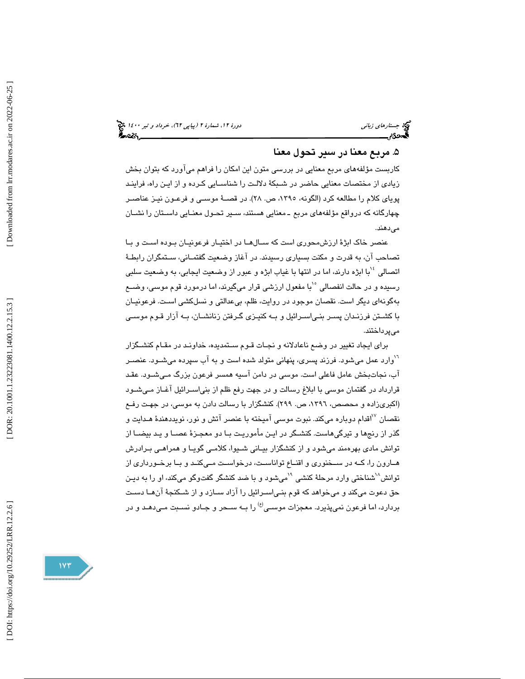# . مربع معنا در سير تحول معنا 5

كاربست مؤلفههاي مربع معنايي در بررسي متون اين امكان را فراهم ميآورد كه بتوان بخش زيادي از مختصات معنايي حاضر در شـبكة دلالـت را شناسـايي كـرده و از ايـن راه، فراينـد پوياي كلام را مطالعه كرد (الگونه، ،1395 ص. 28). در قصـة موسـي و فرعـون نيـز عناصـر چهارگانه كه درواقع مؤلفههاي مربع ـ معنايي هستند، سـير تحـول معنـايي داسـتان را نشـان مے ردھند.

عنصر خاك ابژة ارزشمحوري است كه سـال هـا در اختيـار فرعونيـان بـوده اسـت و بـا تصاحب آن، به قدرت و مكنت بسياري رسيدند. در آغاز وضعيت گفتمـاني، سـتمگران رابطـة اتصالي <sup>١٠</sup>با ابژه دارند، اما در انتها با غياب ابژه و عبور از وضعيت ايجابي، به وضعيت سلبي رسيده و در حالت انفصالي <sup>١</sup>°با مفعول ارزشي قرار ميگيرند، اما درمورد قوم موس*ي*، وضــع بهگونهاي ديگر است. نقصان موجود در روايت، ظلم، بيعدالتي و نسلكشي اسـت. فرعونيـان با كشـتن فرزنـدان پسـر بنـي اسـرائيل و بـه كنيـزي گـرفتن زنانشـان، بـه آزار قـوم موسـي ميپرداختند.

براي ايجاد تغيير در وضع ناعادلانه و نجـات قـوم سـتمديده، خداونـد در مقـام كنشـگزار <sup>۱</sup> وارد عمل میشود. فرزند پسری، پنهانی متولد شده است و به آب سپرده میشـود. عنصـر آب، نجاتبخش عامل فاعلي است. موسي در دامن آسيه همسر فرعون بزرگ مـي شـود. عقـد قرارداد در گفتمان موسي با ابلاغ رسالت و در جهت رفع ظلم از بنياسـرائيل آغـاز مـي شـ ود (اكبريزاده و محصص، ،1396 ص. 299 ). كنشگزار با رسالت دادن به موسي، در جهـت رفـع نقصان <sup>۱۷</sup>اقدام دوباره ميكند. نبوت موسى آميخته با عنصر آتش و نور، نويددهندهٔ هـدايت و گذر از رنجها و تيرگيهاست. كنشـگر در ايـن مأموريـت بـا دو معجـزة عصـا و يـد بيضـا از توانش مادي بهر همند ميشود و از كنشگزار بيـاني شـيوا، كلامـي گويـا و همراهـي بـرادرش هـارون را، كــه در ســخنوري و اقنــاع تواناســت، درخواســت مـي كنـد و بـا برخـورداري از توانش<sup>^\</sup>شناختی وارد مرحلهٔ کنشی <sup>۱</sup>`میشود و با ضد کنشگر گفتوگو میکند، او را به دیـن حق دعوت مي كند و ميخواهد كه قوم بنـي اسـرائيل را آزاد سـازد و از شـكنجة آن هـا دسـت بردارد، اما فرعون نمیپذیرد. معجزات موسـی<sup>(ع)</sup> را بــه ســحر و جــادو نســبت مـیدهــد و در

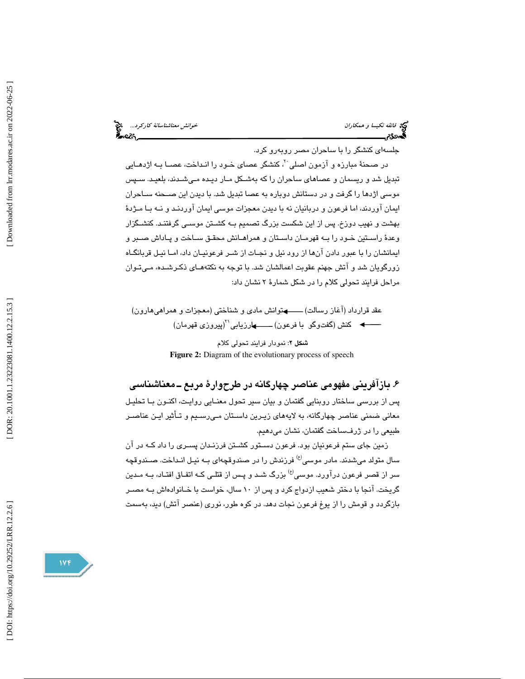خ*وانش معناشناسانهٔ کارکرد...*<br>مح**اکار این مناشناسان** در این محا

جلسهای کنشگر را با ساحران مصر روبهرو کرد.

در صـحنهٔ مبارزه و آزمون اصلی َ ٌ، کنشگر عصای خـود را انـداخت، عصــا بــه اژدهــایی تبديل شد و ريسمان و عصاهاي ساحران را كه بهشـكل مـار ديـده مـي شـدند، بلعيـد. سـپس موسي اژدها را گرفت و در دستانش دوباره به عصا تبديل شد. با ديدن اين صـحنه سـاحران ايمان آوردند، اما فرعون و دربانيان نه با ديدن معجزات موسي ايمان آوردنـد و نـه بـا مـژدة بهشت و نهيب دوزخ. پس از اين شكست بزرگ تصميم بـه كشـتن موسـي گرفتنـد. كنشـگزار وعدة راسـتين خـود را بـه قهرمـان داسـتان و همراهـانش محقـق سـاخت و پـاداش صـبر و ايمانشان را با عبور دادن آنها از رود نيل و نجـات از شـر فرعونيـان داد، امـا نيـل قربانگـاه زورگويان شد و آتش جهنم عقوبت اعمالشان شد. با توجه به نكتههـاي ذكـر شـده، مـي تـوان مراحل فرايند تحولي كلام را در شكل شمارة 2 نشان داد:

عقد قرارداد (آغاز رسالت) ــــــــهتوانش مادي و شناختي (معجزات و همراهيهارون) کنش (گفتوگو با فرعون) ــــــــهارزيابي``(پيروزی قهرمان)

> شكل 2: نمودار فرايند تحولي كلام **Figure 2:** Diagram of the evolutionary process of speech

# ۶. بازآفريني مفهومي عناصر چهارگانه در طرحوارهٔ مربع ــ معناشناسي

پس از بررسي ساختار روبنايي گفتمان و بيان سير تحول معنـايي روايـت، اكنـون بـا تحليـل معاني ضمني عناصر چهارگانه، به لايههاي زيـرين داسـتان مـي رسـيم و تـأثير ايـن عناصـر طبيعي را در ژرفساخت گفتمان، نشان ميدهيم.

زمين جاي ستم فرعونيان بود. فرعون دسـتور كشـتن فرزنـدان پسـري را داد كـه در آن سال متولد می شدند. مادر موسی<sup>(ع)</sup> فرزندش را در صندوقچهای بـه نیـل انـداخت. صـندوقچه سر از قصر فرعون درآورد. موسى<sup>(ع)</sup> بزرگ شـد و پـس از قتلـی کـه اتفـاق افتـاد، بـه مـدین گريخت. آنجا با دختر شعيب ازدواج كرد و پس از 10 سال، خواست با خـانواده اش بـه مصـر بازگردد و قومش را از يوغ فرعون نجات دهد. در كوه طور، نوري (عنصر آتش) ديد، بهسمت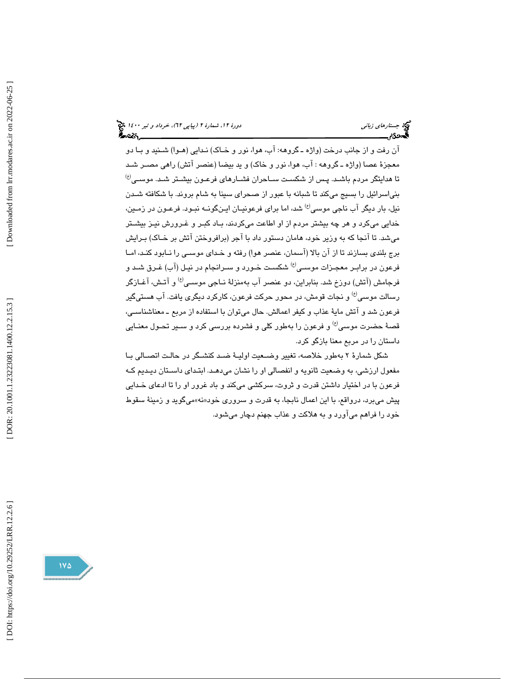جستارهاي زباني دور 1400 (بياپي 17)، خرداد و تير ١٤٠٠ ك

آن رفت و از جانب درخت (واژه ـ گروهه: آب، هوا، نور و خـاك) نـدايي (هـوا) شـنيد و بـا دو معجز ة عصا (واژه ـ گروهه : آب، هوا، نور و خاك) و يد بيضا (عنصر آتش) راهي مصـر شـد  $^{(t)}$  تا هدایتگر مردم باشـد. پـس از شكسـت ســاحران فشــارهای فرعـون بیشـتر شـد. موســی بنياسرائيل را بسيج مي كند تا شبانه با عبور از صحراي سينا به شام بروند. با شكافته شـدن نيل، بار ديگر آب ناجي موسى<sup>(ع)</sup> شد، اما براي فرعونيـان ايـنگونــه نبـود. فرعـون در زمـين، خدايي ميكرد و هر چه بيشتر مردم از او اطاعت ميكردند، بـاد كبـر و غـرورش نيـز بيشـتر مي شد. تا آنجا كه به وزير خود، هامان دستور داد با آجر (برافروختن آتش بر خـاك) بـرايش برج بلندي بسازند تا از آن بالا (آسمان، عنصر هوا) رفته و خـداي موسـي را نـابود كنـد ، امـا فرعون در برابـر معجـزات موســي<sup>(ع)</sup> شكسـت خـورد و ســرانجام در نيـل (آب) غـرق شــد و فرجامش (آتش) دوزخ شد. بنابراين، دو عنصر آب بهمنزلهٔ نــاجي موســي $^{(8)}$ و آتـش، آغــازگر رسالت موسی<sup>(ع)</sup> و نجات قومش، در محور حركت فرعون، كاركرد ديگری يافت. آب هستیگير فرعون شد و آتش ماية عذاب و كيفر اعمالش. حال ميتوان با استفاده از مربع ـ معناشناسـي، قصهٔ حضرت موسى<sup>(ع)</sup> و فرعون را بهطور كلي و فشرده بررسي كرد و سـير تحـول معنـايي داستان را در مربع معنا بازگو كرد.

شكل شمارة ٢ به طور خلاصه، تغيير وضـعيت اوليـة ضـد كنشـگر در حالـت اتصـالي بـا مفعول ارزشي، به وضعيت ثانويه و انفصالي او را نشان ميدهـد. ابتـداي داسـتان ديـديم كـه فرعون با در اختيار داشتن قدرت و ثروت، سركشي ميكند و باد غرور او را تا ادعاي خـدايي پیش میبرد، درواقع، با این اعمال نابجا، به قدرت و سروری خود«نه»میگوید و زمینهٔ سقوط خود را فراهم ميآورد و به هلاكت و عذاب جهنم دچار ميشود.

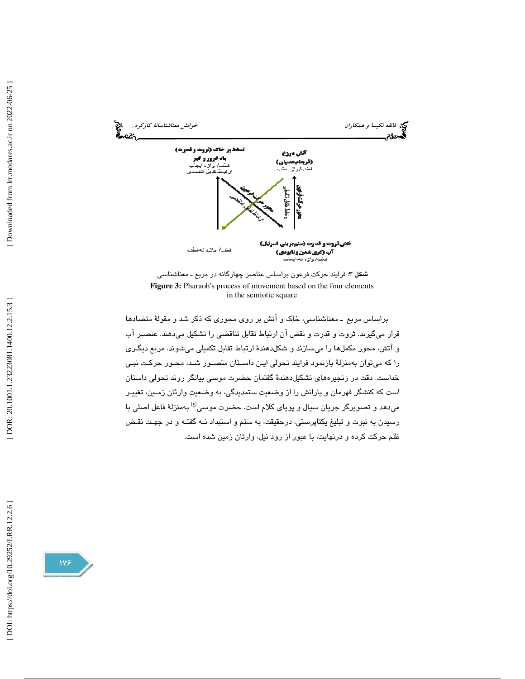



 براساس مربع ـ معناشناسي، خاك و آتش بر روي محوري كه ذكر شد و مقول ة متضادها قرار ميگيرند. ثروت و قدرت و نقض آن ارتباط تقابل تناقضي را تشكيل ميدهند. عنصـر آب و آتش، محور مكملها را ميسازند و شكلدهند ة ارتباط تقابل تكميلي ميشوند. مربع ديگـري را كه ميتوان بهمنزلة بازنمود فرايند تحولي ايـن داسـتان متصـور شـد، محـور حركـت نبـي خداست. دقت در زنجيرههاي تشكيلدهند ة گفتمان حضرت موسي بيانگر روند تحولي داستان است كه كنشگر قهرمان و يارانش را از وضعيت ستمديدگي، به وضعيت وارثان زمـين ، تغييـر میدهد و تصویرگر جریان سیال و پویای کلام است. حضرت موسی<sup>(ع)</sup> بهمنزلهٔ فاعل اصلی با رسیدن به نبوت و تبلیغ یکتاپرستی، درحقیقت، به ستم و استبداد نــه گفتــه و در جهـت نقـض<br>ظلم حرکت کرده و درنهایت، با عبور از رود نیل، وارثان زمین شده است.

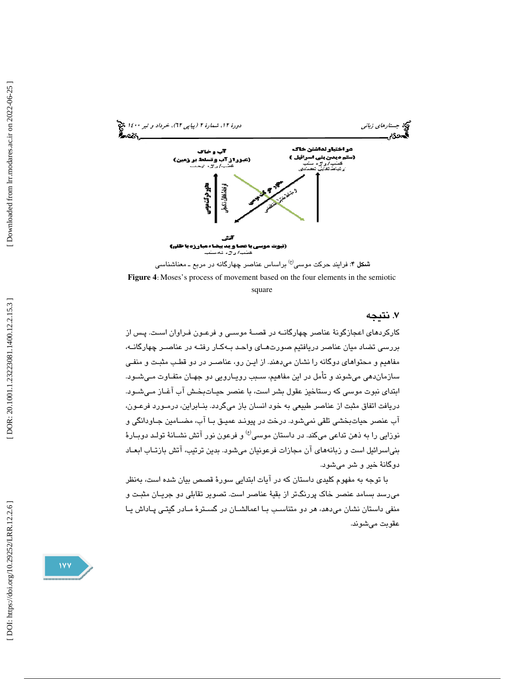

**Figure 4** : Moses's process of movement based on the four elements in the semiotic square

# . 7 نتيجه

كاركردهاي اعجازگونهٔ عناصر چهارگانــه در قصــهٔ موســی و فرعـون فـراوان اسـت. پـس از بررسي تضاد ميان عناصر دريافتيم صورتهـاي واحـد بـه كـار رفتـه در عناصـر چهارگانـه، مفاهيم و محتواهاي دوگانه را نشان ميدهند. از ايـن رو، عناصـر در دو قطـب مثبـت و منفـي سازماندهي ميشوند و تأمل در اين مفاهيم، سـبب رويـارويي دو جهـان متفـاوت مـي شـود. ابتداي نبوت موسي كه رستاخيز عقول بشر است، با عنصر حيـات بخـش آب آغـاز مـي شـود . دريافت اتفاق مثبت از عناصر طبيعي به خود انسان باز ميگردد. بنــابراين، درمــورد فرعــون، آب عنصر حياتبخشي تلقي نميشود. درخت در پيونـد عميـق بـا آب، مضـامين جـاودانگي و نوزايي را به ذهن تداعي ميكند. در داستان موسى<sup>(ع)</sup> و فرعون نور آتش نشــانهٔ تولـد دوبــارهٔ بنياسرائيل است و زبانههاي آن مجازات فرعونيان ميشود. بدين ترتيب، آتش بازتـاب ابعـاد دوگانة خير و شر ميشود.

با توجه به مفهوم كليدي داستان كه در آيات ابتدايي سورة قصص بيان شده است، بهنظر ميرسد بسامد عنصر خاك پررنگتر از بقية عناصر است. تصوير تقابلي دو جريـان مثبـت و منفي داستان نشان ميدهد، هر دو متناسـب بـا اعمالشـان در گسـترة مـادر گيتـي پـاداش يـا عقوبت ميشوند.

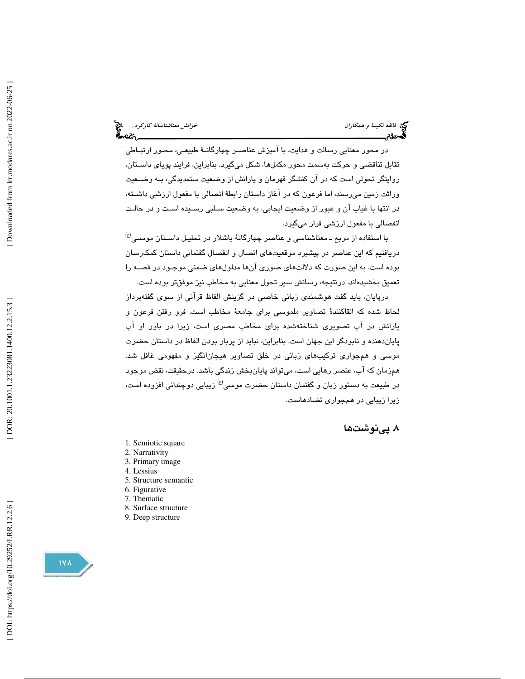محو*انش معناشناسانهٔ کارکرد...*<br>محمد استانستان میتانی بالای میتانی<br>محمد استان

 در محور معنايي رسالت و هدايت، با آميزش عناصـر چهارگانـ ة طبيعـي ، محـور ارتبـاطي تقابل تناقضي و حركت بهسمت محور مكملها، شكل ميگيرد. بنابراين، فرايند پوياي داسـتان، روايتگر تحولي است كه در ان كنشگر قهرمان و يارانش از وضعيت ستمديدگي، بــه وضــعيت وراثت زمين ميرسند، اما فرعون كه در آغاز داستان رابطة اتصالي با مفعول ارزشي داشـته، در انتها با غياب آن و عبور از وضعيت ايجابي، به وضعيت سـلبي رسـيده اسـت و در حالـت انفصالي با مفعول ارزشي قرار ميگيرد.

 $^{(t)}$ با استفاده از مربع ـ معناشناسی و عناصر چهارگانهٔ باشلار در تحلیـل داسـتان موســی دريافتيم كه اين عناصر در پيشبرد موقعيتهاي اتصال و انفصال گفتماني داستان كمكرسان بوده است. به اين صورت كه دلالتهاي صوري آنها مدلولهاي ضمني موجـود در قصـه را تعميق بخشيدهاند. درنتيجه، رسانش سير تحول معنايي به مخاطب نيز موفقتر بوده است.

 درپايان، بايد گفت هوشمندي زباني خاصي در گزينش الفاظ قرآني از سوي گفتهپرداز لحاظ شده كه القاكنندهٔ تصاوير ملموسى براى جامعهٔ مخاطب است. فرو رفتن فرعون و يارانش در آب تصويري شناختهشده براي مخاطب مصري است، زيرا در باور او آب پاياندهنده و نابودگر اين جهان است. بنابراين ، نبايد از پربار بودن الفاظ در داستان حضرت موسي و همجواري تركيبهاي زباني در خلق تصاوير هيجانانگيز و مفهومي غافل شد. همزمان كه آب، عنصر رهايي است، ميتواند پايا نبخش زندگي باشد. درحقيقت ، نقض موجود در طبيعت به دستور زبان و گفتمان داستان حضرت موسى<sup>(ع)</sup> زيبايي دوچنداني افزوده است، زيرا زيبايي در همجواري تضادهاست.

# . پينوشتها 8

- 1. Semiotic square
- 2. Narrativity
- 3. Primary image
- 4. Lessius
- 5. Structure semantic
- 6. Figurative
- 7. Thematic
- 8. Surface structure
- 9. Deep structure

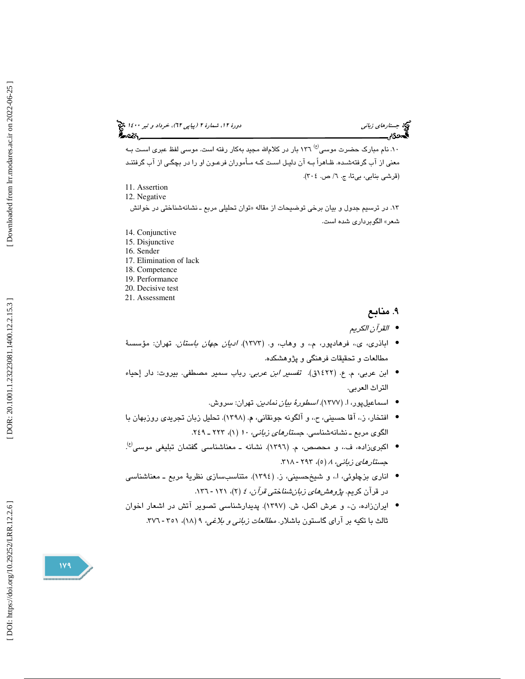جستارهاي زباني دور 1400 (بياپي 17)، خرداد و تير ١٤٠٠ ك

۱۰. نام مبارک حضرت موسى<sup>(ع)</sup> ۱۳۲ بار در کلامالله مجید بهکار رفته است. موسى لفظ عبرى اسـت بـه معني از آب گرفتهشـده. ظـاهراً بـه آن دليـل اسـت كـه مـأموران فرعـون او را در بچگـي از آب گرفتنـد (قرشي بنابي، بي تا، ج. ٦/ ص. ٢٠٤).

- 11. Assertion
- 12. Negative
- ۱۳. در ترسيم جدول و بيان برخي توضيحات از مقاله «توان تحليلي مربع ــ نشانهشناختي در خوانش شعر» الگوبرداري شده است.
- 14. Conjunctive
- 15. Disjunctive
- 16. Sender
- 17. Elimination of lack
- 18. Competence 19. Performance
- 20. Decisive test
- 21. Assessment

- منابع 9 .
- القرآن الكريم •
- اباذری، ی.، فرهادپور، م.، و وهاب، و. (۱۳۷۳)*. ادیان جهان باستان*. تهران: مؤسسهٔ مطالعات و تحقيقات فرهنگي و پژوهشكده.
- ابن عربی، م. ع. (٤٢٢ق). *تفسیر ابن عربی.* رباب سمیر مصطفی. بیروت: دار إحیاء التراث العربي.
	- اسماعیلپور، ا. (۱۳۷۷). *اسطورهٔ بیان نمادین.* تهران: سروش.
- افتخار، ز. ، آقا حسيني، ح. ، و آلگونه جونقاني، م. ( 1398). تحليل زبان تجريدي روزبهان با الگوي مربع ـ نشانهشناسي. جستارهاي زباني، <sup>10</sup> 1( )، 223 ـ 249 .
- اكبريزاده، ف،. و محصص، م. (1396). نشانه ـ معناشناسي گفتمان تبليغي موسي (ع) . جستارهای زبانی، ۸ (٥)، ۲۹۳ - ۳۱۸.
- اناري بزچلوئي، ا،. و شيخحسيني، ز. ( 1394). متناسبسازي نظرية مربع ـ معناشناسي در قرآن كريم. *پژوهشهای زبان شناختی قرآن، ٤ (*٢)، ١٢١ - ١٣٦.
- ايرانزاده، ن،. و عرش اكمل، ش. ( 1397). پديدارشناسي تصوير آتش در اشعار اخوان ثالث با تكيه بر آراي گاستون باشلار. *مطالعات زباني و بلاغي، ۹ (۱۸)، ۳*۵۱ - ۳۷٦.

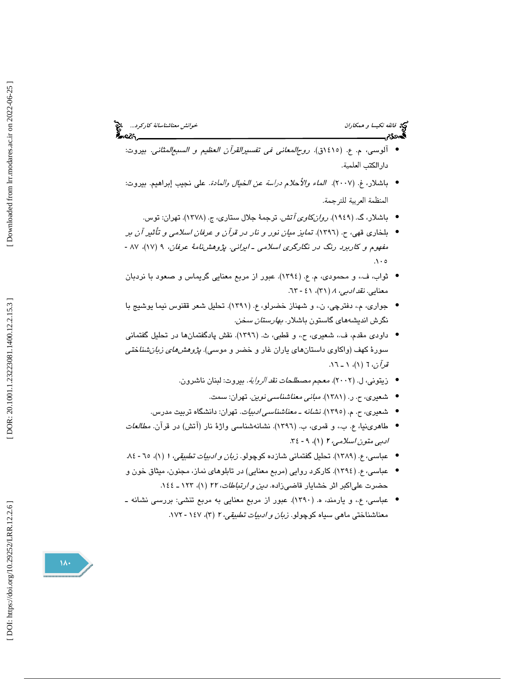- آلوسي، م. ع. (1415ق). روحالمعاني في تفسيرالقرآن العظيم و السبعالمثاني. بيروت: دارالكتب العلمية .
- باشلار، غ. (٢٠٠٧). *الماء والأحلام دراسة عن الخيال والمادة.* على نجيب إبراهيم. بيروت: المنظمة العربية للترجمة .
	- باشلار، گ. (۱۹٤۹). *روانکاوی آتش*. ترجمهٔ جلال ستاری، ج. (۱۳۷۸). تهران: توس.
- بلخاري قهي، (ح. 1396). تمايز ميان نور و نار در قرآن و عرفان اسلامي و تأثير آن بر مفهوم و كاربرد رنگ در نگارگري اسلامي ـ ايراني. پژوهشنامهٔ عرفان، ۹ (۱۷)، ۸۷ - $\Lambda \cdot \mathfrak{o}$
- ثواب، ف،. و محمودي، م. ع. (1394). عبور از مربع معنايي گريماس و صعود با نردبان معنايي. *نقد ادبي، ٨ (٣*١)، ٤١ - ٦٣.
- جواري، م.، دفترچي، ن.، و شهناز خضرلو، ع. (١٣٩١). تحليل شعر ققنوس نيما يوشيج با نگرش انديشههای گاستون باشلار. *بهارستان سخن.*
- داودی مقدم، ف.، شعیری، ح.، و قطبی، ث. (١٣٩٦). نقش پادگفتمانها در تحلیل گفتمانی سورهٔ کهف (واکاوی داستانهای یاران غار و خضر و موس*ی). پژوهشهای زبانشنا*خت*ی* ق*دآن*، 7 (۱)، ۱ ـ ۱.۱.
	- زيتوني، ل. (2002). معجم مصطلحات نقد الرواية. بيروت: لبنان ناشرون.
		- شعیری، ح. ر. (۱۳۸۱). *مبانی معناشناسی نوین*. تهران: سمت.
	- شعيري، ح. م. ( 1395 ). نشانه ـ معناشناسي ادبيات. تهران: دانشگاه تربيت مدرس. •
- طاهرينيا، ع. ب،. و قمري، ب. (1396). نشانهشناسي واژة نار (آتش) در قرآن. مطالعات ادبي متون اسلامي، ٢ (١)، ٩ - ٣٤.
- عباسي، ع. (١٣٨٩). تحليل گفتماني شازده كوچولو. *زبان و ادبيات تطبيقي، ١ (١*)، ٦٥ ٨٤.
- عباسي، ع. (1394). كاركرد روايي (مربع معنايي) در تابلوهاي نماز، مجنون، ميثاق خون و حضرت علياكبر اثر خشايار قاضيزاده. دين و ارتباطات، <sup>22</sup> 1( )، 123 ـ 144 .
- عباسي، ع،. و يارمند، ه. (1390). عبور از مربع معنايي به مربع تنشي: بررسي نشانه ـ معناشناختي ماهي سياه كوچولو. *زبان و ادبيات تطبيقي، ٢ (٣)، ١٤٧*٠-١٧٢.

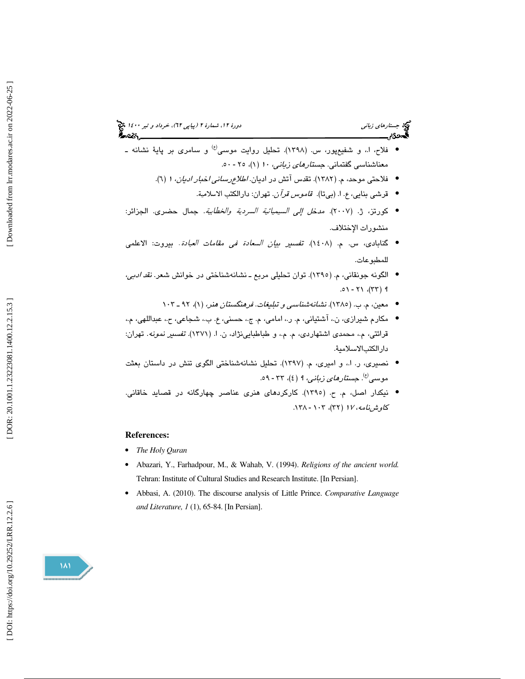# جستارهاي زباني دور 1400 (بياپي 17)، خرداد و تير ١٤٠٠ ك

- فلاح، ا،. و شفيعپور، س. (1398). تحليل روايت موسي و سامري بر پاية نشانه ـ (ع) معناشناسی گفتمانی. *جستارهای زبانی، ۱۰* (۱)، ۲۰ - ۵۰.
	- فلاحتی موحد، م. (۱۳۸۲). تقدس آتش در ادیان. *اطلاع رسانی اخبار ادیان،* 1 (٦).
		- قرشي بنايي، ع. ا. (بيتا). ق*اموس قرآن*. تهران: دارالكتب الاسلامية.
- كورتز، ژ. (2007). مدخل إلي السيميائية السردية والخطابية. جمال حضري. الجزائر: منشورات الإختلاف.
- گنابادی، س. م. (١٤٠٨). ت*فسير بيان السعادة في مقامات العبادة*. بيروت: الاعلمي للمطبوعات .
- الگونه جونقاني، م. (1395). توان تحليلي مربع ـ نشانهشناختي در خوانش شعر. نقد ادبي،  $.01 - Y1$  (۳۳) 9
	- معین، م. ب. (١٣٨٥). *نشانهشناسي و تبليغات. فرهنگستان هنر،* (١)، ٩٢ ـ ١٠٣
- مكارم شيرازي، ن.، آشتياني، م. ر.، امامي، م. ج.، حسني، ع. ب.، شجاعي، ح.، عبداللهي، م.، قرائتى، م،. محمدى اشتهاردى، م. م،. و طباطبايىنژاد، ن. ( ا. 1371 ). تفسير نمونه. تهران: دارالكتبالاسلامية.
- نصيري، ر. ا،. و اميري، م. (1397). تحليل نشانهشناختي الگوي تنش در داستان بعثت موسى<sup>(ع)</sup>. *جستارهای زبانی، ۹ (٤)، ۳۳ - ٥٩.*
- نيكدار اصل، م. ح. ( 1395). كاركردهاي هنري عناصر چهارگانه در قصايد خاقاني. ک*اوشنامه، ۱۷ (*۳۲)، ۱۰۳ - ۱۳۸.

### **References:**

- *The Holy Quran*
- Abazari, Y., Farhadpour, M., & Wahab, V. (1994). *Religions of the ancient world.* Tehran: Institute of Cultural Studies and Research Institute. [In Persian].
- Abbasi, A. (2010). The discourse analysis of Little Prince. *Comparative Language and Literature, 1* (1), 65-84. [In Persian].

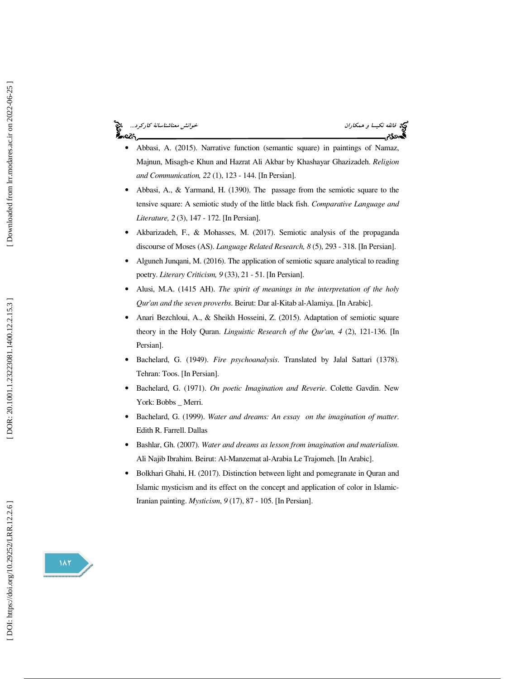خوانش معناشناسانهٔ كاركرد... ಹಿಂದಿ



- Abbasi, A. (2015). Narrative function (semantic square) in paintings of Namaz, Majnun, Misagh-e Khun and Hazrat Ali Akbar by Khashayar Ghazizadeh. *Religion and Communication, 22* (1), 123 - 144. [In Persian].
- Abbasi, A., & Yarmand, H. (1390). The passage from the semiotic square to the tensive square: A semiotic study of the little black fish. *Comparative Language and Literature, 2* (3), 147 - 172. [In Persian].
- Akbarizadeh, F., & Mohasses, M. (2017). Semiotic analysis of the propaganda discourse of Moses (AS). *Language Related Research, 8* (5), 293 - 318. [In Persian].
- Alguneh Junqani, M. (2016). The application of semiotic square analytical to reading poetry. *Literary Criticism, 9* (33), 21 - 51. [In Persian].
- Alusi, M.A. (1415 AH). *The spirit of meanings in the interpretation of the holy Qur'an and the seven proverbs*. Beirut: Dar al-Kitab al-Alamiya. [In Arabic].
- Anari Bezchloui, A., & Sheikh Hosseini, Z. (2015). Adaptation of semiotic square theory in the Holy Quran. *Linguistic Research of the Qur'an, 4* (2), 121-136. [In Persian].
- Bachelard, G. (1949). *Fire psychoanalysis*. Translated by Jalal Sattari (1378). Tehran: Toos. [In Persian].
- Bachelard, G. (1971). *On poetic Imagination and Reverie*. Colette Gavdin. New York: Bobbs \_ Merri.
- Bachelard, G. (1999). *Water and dreams: An essay on the imagination of matter*. Edith R. Farrell. Dallas
- Bashlar, Gh. (2007). *Water and dreams as lesson from imagination and materialism*. Ali Najib Ibrahim. Beirut: Al-Manzemat al-Arabia Le Trajomeh. [In Arabic].
- Bolkhari Ghahi, H. (2017). Distinction between light and pomegranate in Quran and Islamic mysticism and its effect on the concept and application of color in Islamic-Iranian painting. *Mysticism*, *9* (17), 87 - 105. [In Persian].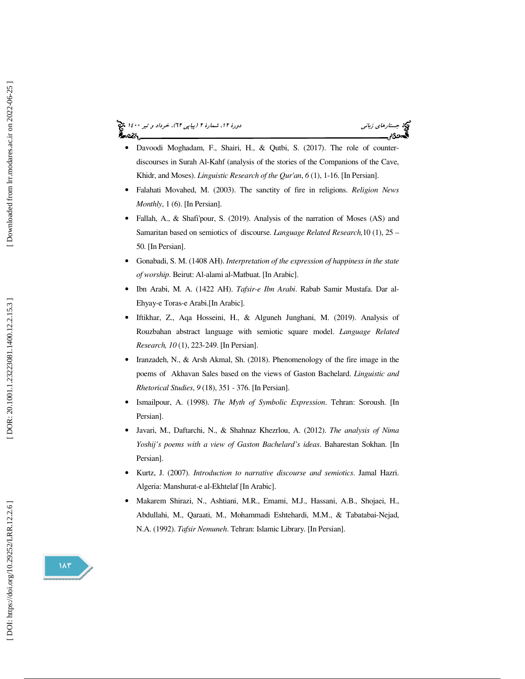جستارهاي زباني دور 1400 (بياپي 17)، خرداد و تير ١٤٠٠ ك

- Davoodi Moghadam, F., Shairi, H., & Qutbi, S. (2017). The role of counterdiscourses in Surah Al-Kahf (analysis of the stories of the Companions of the Cave, Khidr, and Moses). *Linguistic Research of the Qur'an* , *6* (1), 1-16. [In Persian].
- Falahati Movahed, M. (2003). The sanctity of fire in religions. *Religion News Monthly*, 1 (6). [In Persian].
- Fallah, A., & Shafi'pour, S. (2019). Analysis of the narration of Moses (AS) and Samaritan based on semiotics of discourse. *Language Related Research,*10 (1), 25 – 50. [In Persian].
- Gonabadi, S. M. (1408 AH). *Interpretation of the expression of happiness in the state of worship*. Beirut: Al-alami al-Matbuat. [In Arabic].
- Ibn Arabi, M. A. (1422 AH). *Tafsir-e Ibn Arabi*. Rabab Samir Mustafa. Dar al-Ehyay-e Toras-e Arabi.[In Arabic].
- Iftikhar, Z., Aqa Hosseini, H., & Alguneh Junghani, M. (2019). Analysis of Rouzbahan abstract language with semiotic square model. *Language Related Research, 10* (1), 223-249. [In Persian].
- Iranzadeh, N., & Arsh Akmal, Sh. (2018). Phenomenology of the fire image in the poems of Akhavan Sales based on the views of Gaston Bachelard. *Linguistic and Rhetorical Studies*, *9* (18), 351 - 376. [In Persian].
- Ismailpour, A. (1998). *The Myth of Symbolic Expression*. Tehran: Soroush. [In Persian].
- Javari, M., Daftarchi, N., & Shahnaz Khezrlou, A. (2012). *The analysis of Nima Yoshij's poems with a view of Gaston Bachelard's ideas*. Baharestan Sokhan. [In Persian].
- Kurtz, J. (2007). *Introduction to narrative discourse and semiotics*. Jamal Hazri. Algeria: Manshurat-e al-Ekhtelaf [In Arabic].
- Makarem Shirazi, N., Ashtiani, M.R., Emami, M.J., Hassani, A.B., Shojaei, H., Abdullahi, M., Qaraati, M., Mohammadi Eshtehardi, M.M., & Tabatabai-Nejad, N.A. (1992). *Tafsir Nemuneh*. Tehran: Islamic Library. [In Persian].